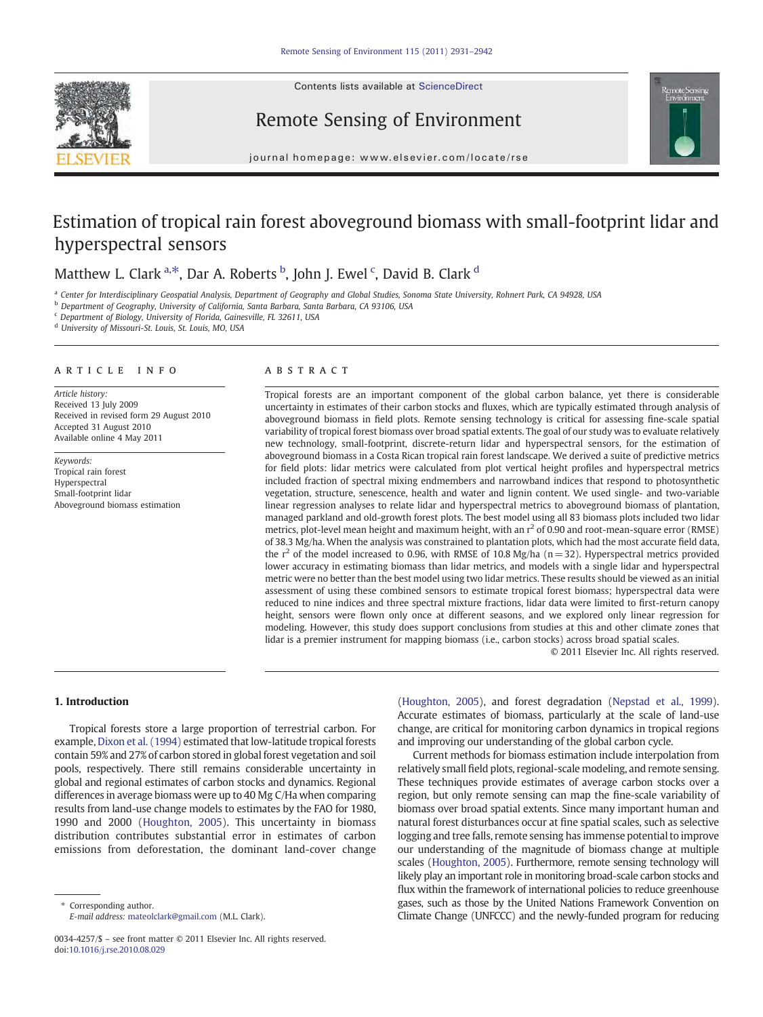

## Remote Sensing of Environment



journal homepage: www.elsevier.com/locate/rse

# Estimation of tropical rain forest aboveground biomass with small-footprint lidar and hyperspectral sensors

## Matthew L. Clark <sup>a,\*</sup>, Dar A. Roberts <sup>b</sup>, John J. Ewel <sup>c</sup>, David B. Clark <sup>d</sup>

a Center for Interdisciplinary Geospatial Analysis, Department of Geography and Global Studies, Sonoma State University, Rohnert Park, CA 94928, USA

<sup>b</sup> Department of Geography, University of California, Santa Barbara, Santa Barbara, CA 93106, USA

<sup>c</sup> Department of Biology, University of Florida, Gainesville, FL 32611, USA

<sup>d</sup> University of Missouri-St. Louis, St. Louis, MO, USA

#### article info abstract

Article history: Received 13 July 2009 Received in revised form 29 August 2010 Accepted 31 August 2010 Available online 4 May 2011

Keywords: Tropical rain forest Hyperspectral Small-footprint lidar Aboveground biomass estimation

Tropical forests are an important component of the global carbon balance, yet there is considerable uncertainty in estimates of their carbon stocks and fluxes, which are typically estimated through analysis of aboveground biomass in field plots. Remote sensing technology is critical for assessing fine-scale spatial variability of tropical forest biomass over broad spatial extents. The goal of our study was to evaluate relatively new technology, small-footprint, discrete-return lidar and hyperspectral sensors, for the estimation of aboveground biomass in a Costa Rican tropical rain forest landscape. We derived a suite of predictive metrics for field plots: lidar metrics were calculated from plot vertical height profiles and hyperspectral metrics included fraction of spectral mixing endmembers and narrowband indices that respond to photosynthetic vegetation, structure, senescence, health and water and lignin content. We used single- and two-variable linear regression analyses to relate lidar and hyperspectral metrics to aboveground biomass of plantation, managed parkland and old-growth forest plots. The best model using all 83 biomass plots included two lidar metrics, plot-level mean height and maximum height, with an  $r^2$  of 0.90 and root-mean-square error (RMSE) of 38.3 Mg/ha. When the analysis was constrained to plantation plots, which had the most accurate field data, the  $r^2$  of the model increased to 0.96, with RMSE of 10.8 Mg/ha (n=32). Hyperspectral metrics provided lower accuracy in estimating biomass than lidar metrics, and models with a single lidar and hyperspectral metric were no better than the best model using two lidar metrics. These results should be viewed as an initial assessment of using these combined sensors to estimate tropical forest biomass; hyperspectral data were reduced to nine indices and three spectral mixture fractions, lidar data were limited to first-return canopy height, sensors were flown only once at different seasons, and we explored only linear regression for modeling. However, this study does support conclusions from studies at this and other climate zones that lidar is a premier instrument for mapping biomass (i.e., carbon stocks) across broad spatial scales.

© 2011 Elsevier Inc. All rights reserved.

#### 1. Introduction

Tropical forests store a large proportion of terrestrial carbon. For example, [Dixon et al. \(1994\)](#page-10-0) estimated that low-latitude tropical forests contain 59% and 27% of carbon stored in global forest vegetation and soil pools, respectively. There still remains considerable uncertainty in global and regional estimates of carbon stocks and dynamics. Regional differences in average biomass were up to 40 Mg C/Ha when comparing results from land-use change models to estimates by the FAO for 1980, 1990 and 2000 ([Houghton, 2005\)](#page-10-0). This uncertainty in biomass distribution contributes substantial error in estimates of carbon emissions from deforestation, the dominant land-cover change

Corresponding author. E-mail address: [mateolclark@gmail.com](mailto:mateolclark@gmail.com) (M.L. Clark). [\(Houghton, 2005](#page-10-0)), and forest degradation [\(Nepstad et al., 1999](#page-10-0)). Accurate estimates of biomass, particularly at the scale of land-use change, are critical for monitoring carbon dynamics in tropical regions and improving our understanding of the global carbon cycle.

Current methods for biomass estimation include interpolation from relatively small field plots, regional-scale modeling, and remote sensing. These techniques provide estimates of average carbon stocks over a region, but only remote sensing can map the fine-scale variability of biomass over broad spatial extents. Since many important human and natural forest disturbances occur at fine spatial scales, such as selective logging and tree falls, remote sensing has immense potential to improve our understanding of the magnitude of biomass change at multiple scales [\(Houghton, 2005](#page-10-0)). Furthermore, remote sensing technology will likely play an important role in monitoring broad-scale carbon stocks and flux within the framework of international policies to reduce greenhouse gases, such as those by the United Nations Framework Convention on Climate Change (UNFCCC) and the newly-funded program for reducing

<sup>0034-4257/\$</sup> – see front matter © 2011 Elsevier Inc. All rights reserved. doi:[10.1016/j.rse.2010.08.029](http://dx.doi.org/10.1016/j.rse.2010.08.029)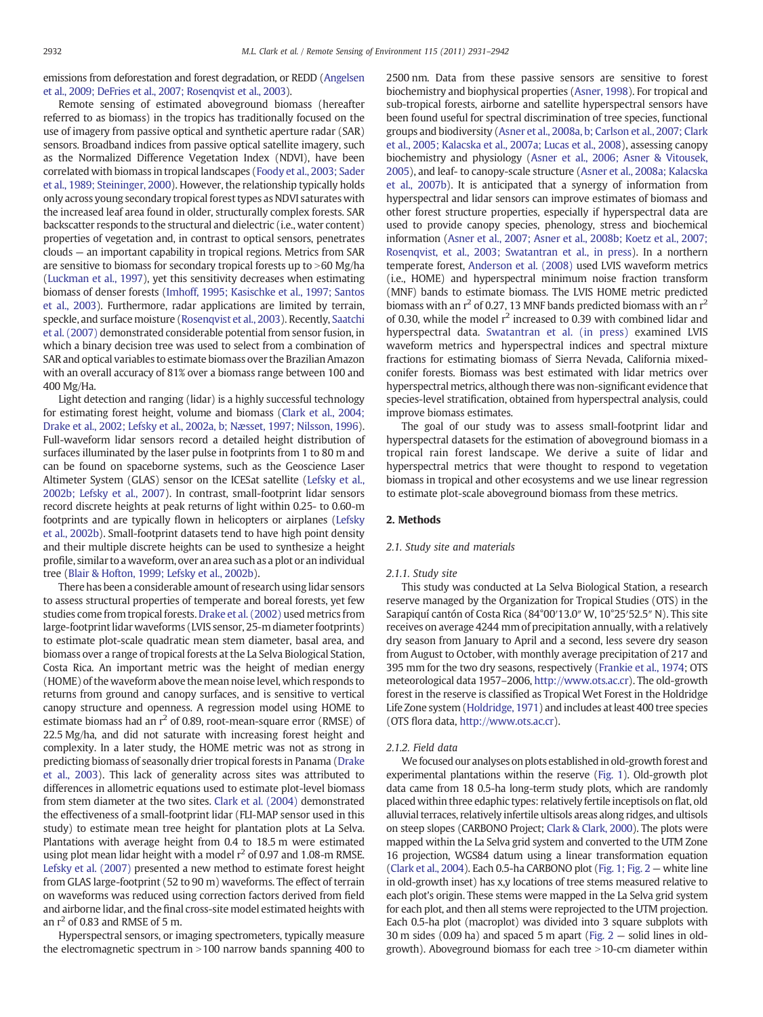<span id="page-1-0"></span>emissions from deforestation and forest degradation, or REDD [\(Angelsen](#page-9-0) [et al., 2009; DeFries et al., 2007; Rosenqvist et al., 2003](#page-9-0)).

Remote sensing of estimated aboveground biomass (hereafter referred to as biomass) in the tropics has traditionally focused on the use of imagery from passive optical and synthetic aperture radar (SAR) sensors. Broadband indices from passive optical satellite imagery, such as the Normalized Difference Vegetation Index (NDVI), have been correlated with biomass in tropical landscapes [\(Foody et al., 2003; Sader](#page-10-0) [et al., 1989; Steininger, 2000](#page-10-0)). However, the relationship typically holds only across young secondary tropical forest types as NDVI saturates with the increased leaf area found in older, structurally complex forests. SAR backscatter responds to the structural and dielectric (i.e., water content) properties of vegetation and, in contrast to optical sensors, penetrates clouds — an important capability in tropical regions. Metrics from SAR are sensitive to biomass for secondary tropical forests up to  $>60$  Mg/ha [\(Luckman et al., 1997\)](#page-10-0), yet this sensitivity decreases when estimating biomass of denser forests [\(Imhoff, 1995; Kasischke et al., 1997; Santos](#page-10-0) [et al., 2003](#page-10-0)). Furthermore, radar applications are limited by terrain, speckle, and surface moisture ([Rosenqvist et al., 2003\)](#page-11-0). Recently, [Saatchi](#page-11-0) [et al. \(2007\)](#page-11-0) demonstrated considerable potential from sensor fusion, in which a binary decision tree was used to select from a combination of SAR and optical variables to estimate biomass over the Brazilian Amazon with an overall accuracy of 81% over a biomass range between 100 and 400 Mg/Ha.

Light detection and ranging (lidar) is a highly successful technology for estimating forest height, volume and biomass [\(Clark et al., 2004;](#page-10-0) [Drake et al., 2002; Lefsky et al., 2002a, b; Næsset, 1997; Nilsson, 1996\)](#page-10-0). Full-waveform lidar sensors record a detailed height distribution of surfaces illuminated by the laser pulse in footprints from 1 to 80 m and can be found on spaceborne systems, such as the Geoscience Laser Altimeter System (GLAS) sensor on the ICESat satellite ([Lefsky et al.,](#page-10-0) [2002b; Lefsky et al., 2007\)](#page-10-0). In contrast, small-footprint lidar sensors record discrete heights at peak returns of light within 0.25- to 0.60-m footprints and are typically flown in helicopters or airplanes [\(Lefsky](#page-10-0) [et al., 2002b](#page-10-0)). Small-footprint datasets tend to have high point density and their multiple discrete heights can be used to synthesize a height profile, similar to a waveform, over an area such as a plot or an individual tree [\(Blair & Hofton, 1999; Lefsky et al., 2002b\)](#page-10-0).

There has been a considerable amount of research using lidar sensors to assess structural properties of temperate and boreal forests, yet few studies come from tropical forests. [Drake et al. \(2002\)](#page-10-0) used metrics from large-footprint lidar waveforms (LVIS sensor, 25-m diameter footprints) to estimate plot-scale quadratic mean stem diameter, basal area, and biomass over a range of tropical forests at the La Selva Biological Station, Costa Rica. An important metric was the height of median energy (HOME) of the waveform above themean noise level, which responds to returns from ground and canopy surfaces, and is sensitive to vertical canopy structure and openness. A regression model using HOME to estimate biomass had an  $r^2$  of 0.89, root-mean-square error (RMSE) of 22.5 Mg/ha, and did not saturate with increasing forest height and complexity. In a later study, the HOME metric was not as strong in predicting biomass of seasonally drier tropical forests in Panama ([Drake](#page-10-0) [et al., 2003](#page-10-0)). This lack of generality across sites was attributed to differences in allometric equations used to estimate plot-level biomass from stem diameter at the two sites. [Clark et al. \(2004\)](#page-10-0) demonstrated the effectiveness of a small-footprint lidar (FLI-MAP sensor used in this study) to estimate mean tree height for plantation plots at La Selva. Plantations with average height from 0.4 to 18.5 m were estimated using plot mean lidar height with a model  $r^2$  of 0.97 and 1.08-m RMSE. [Lefsky et al. \(2007\)](#page-10-0) presented a new method to estimate forest height from GLAS large-footprint (52 to 90 m) waveforms. The effect of terrain on waveforms was reduced using correction factors derived from field and airborne lidar, and the final cross-site model estimated heights with an  $r^2$  of 0.83 and RMSE of 5 m.

Hyperspectral sensors, or imaging spectrometers, typically measure the electromagnetic spectrum in  $>100$  narrow bands spanning 400 to 2500 nm. Data from these passive sensors are sensitive to forest biochemistry and biophysical properties ([Asner, 1998](#page-9-0)). For tropical and sub-tropical forests, airborne and satellite hyperspectral sensors have been found useful for spectral discrimination of tree species, functional groups and biodiversity [\(Asner et al., 2008a, b; Carlson et al., 2007; Clark](#page-9-0) [et al., 2005; Kalacska et al., 2007a; Lucas et al., 2008](#page-9-0)), assessing canopy biochemistry and physiology ([Asner et al., 2006; Asner & Vitousek,](#page-10-0) [2005\)](#page-10-0), and leaf- to canopy-scale structure ([Asner et al., 2008a; Kalacska](#page-9-0) [et al., 2007b\)](#page-9-0). It is anticipated that a synergy of information from hyperspectral and lidar sensors can improve estimates of biomass and other forest structure properties, especially if hyperspectral data are used to provide canopy species, phenology, stress and biochemical information ([Asner et al., 2007; Asner et al., 2008b; Koetz et al., 2007;](#page-9-0) [Rosenqvist, et al., 2003; Swatantran et al., in press](#page-9-0)). In a northern temperate forest, [Anderson et al. \(2008\)](#page-9-0) used LVIS waveform metrics (i.e., HOME) and hyperspectral minimum noise fraction transform (MNF) bands to estimate biomass. The LVIS HOME metric predicted biomass with an  $r^2$  of 0.27, 13 MNF bands predicted biomass with an  $r^2$ of 0.30, while the model  $r^2$  increased to 0.39 with combined lidar and hyperspectral data. [Swatantran et al. \(in press\)](#page-11-0) examined LVIS waveform metrics and hyperspectral indices and spectral mixture fractions for estimating biomass of Sierra Nevada, California mixedconifer forests. Biomass was best estimated with lidar metrics over hyperspectral metrics, although there was non-significant evidence that species-level stratification, obtained from hyperspectral analysis, could improve biomass estimates.

The goal of our study was to assess small-footprint lidar and hyperspectral datasets for the estimation of aboveground biomass in a tropical rain forest landscape. We derive a suite of lidar and hyperspectral metrics that were thought to respond to vegetation biomass in tropical and other ecosystems and we use linear regression to estimate plot-scale aboveground biomass from these metrics.

#### 2. Methods

#### 2.1. Study site and materials

#### 2.1.1. Study site

This study was conducted at La Selva Biological Station, a research reserve managed by the Organization for Tropical Studies (OTS) in the Sarapiquí cantón of Costa Rica (84°00′13.0″ W, 10°25′52.5″ N). This site receives on average 4244 mm of precipitation annually, with a relatively dry season from January to April and a second, less severe dry season from August to October, with monthly average precipitation of 217 and 395 mm for the two dry seasons, respectively ([Frankie et al., 1974](#page-10-0); OTS meteorological data 1957–2006, [http://www.ots.ac.cr\)](http://www.ots.ac.cr). The old-growth forest in the reserve is classified as Tropical Wet Forest in the Holdridge Life Zone system [\(Holdridge, 1971\)](#page-10-0) and includes at least 400 tree species (OTS flora data, <http://www.ots.ac.cr>).

#### 2.1.2. Field data

We focused our analyses on plots established in old-growth forest and experimental plantations within the reserve [\(Fig. 1](#page-2-0)). Old-growth plot data came from 18 0.5-ha long-term study plots, which are randomly placed within three edaphic types: relatively fertile inceptisols on flat, old alluvial terraces, relatively infertile ultisols areas along ridges, and ultisols on steep slopes (CARBONO Project; [Clark & Clark, 2000\)](#page-10-0). The plots were mapped within the La Selva grid system and converted to the UTM Zone 16 projection, WGS84 datum using a linear transformation equation [\(Clark et al., 2004](#page-10-0)). Each 0.5-ha CARBONO plot [\(Fig. 1; Fig. 2](#page-2-0) — white line in old-growth inset) has x,y locations of tree stems measured relative to each plot's origin. These stems were mapped in the La Selva grid system for each plot, and then all stems were reprojected to the UTM projection. Each 0.5-ha plot (macroplot) was divided into 3 square subplots with 30 m sides (0.09 ha) and spaced 5 m apart [\(Fig. 2](#page-2-0) — solid lines in oldgrowth). Aboveground biomass for each tree  $>10$ -cm diameter within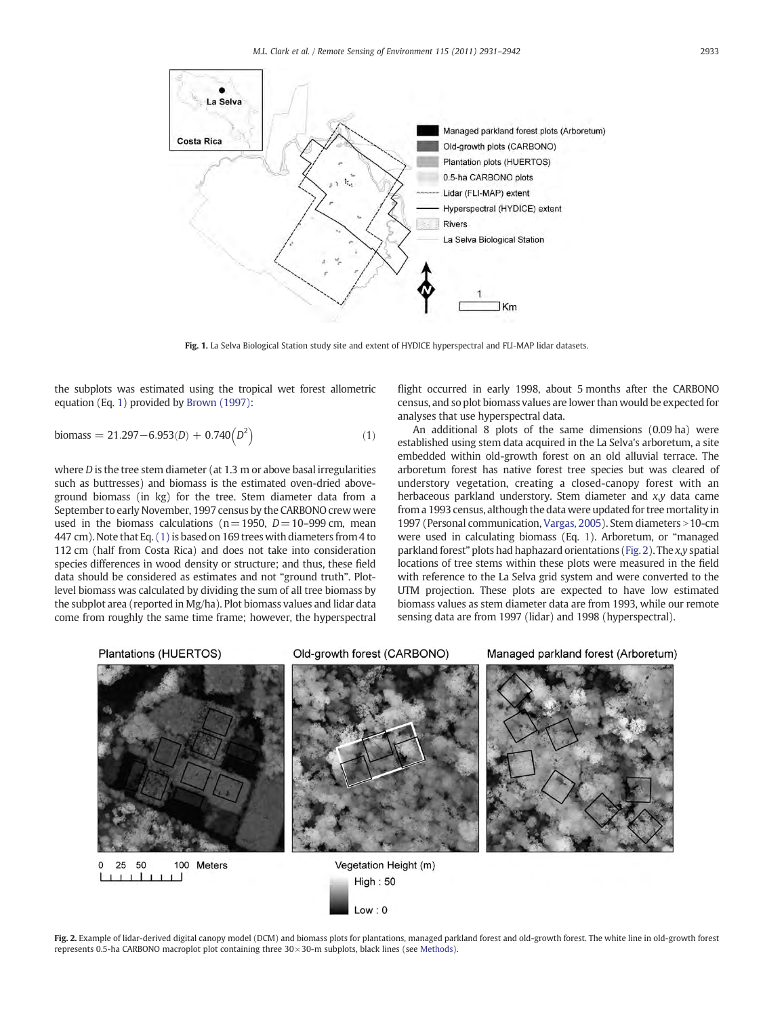<span id="page-2-0"></span>

Fig. 1. La Selva Biological Station study site and extent of HYDICE hyperspectral and FLI-MAP lidar datasets.

the subplots was estimated using the tropical wet forest allometric equation (Eq. 1) provided by [Brown \(1997\)](#page-10-0):

$$
biomass = 21.297 - 6.953(D) + 0.740(D2)
$$
\n(1)

where *D* is the tree stem diameter (at 1.3 m or above basal irregularities such as buttresses) and biomass is the estimated oven-dried aboveground biomass (in kg) for the tree. Stem diameter data from a September to early November, 1997 census by the CARBONO crew were used in the biomass calculations ( $n=1950$ ,  $D=10-999$  cm, mean 447 cm). Note that Eq. (1) is based on 169 trees with diameters from 4 to 112 cm (half from Costa Rica) and does not take into consideration species differences in wood density or structure; and thus, these field data should be considered as estimates and not "ground truth". Plotlevel biomass was calculated by dividing the sum of all tree biomass by the subplot area (reported in Mg/ha). Plot biomass values and lidar data come from roughly the same time frame; however, the hyperspectral

flight occurred in early 1998, about 5 months after the CARBONO census, and so plot biomass values are lower than would be expected for analyses that use hyperspectral data.

An additional 8 plots of the same dimensions (0.09 ha) were established using stem data acquired in the La Selva's arboretum, a site embedded within old-growth forest on an old alluvial terrace. The arboretum forest has native forest tree species but was cleared of understory vegetation, creating a closed-canopy forest with an herbaceous parkland understory. Stem diameter and x,y data came from a 1993 census, although the data were updated for tree mortality in 1997 (Personal communication, [Vargas, 2005\)](#page-11-0). Stem diameters > 10-cm were used in calculating biomass (Eq. 1). Arboretum, or "managed parkland forest" plots had haphazard orientations (Fig. 2). The x,y spatial locations of tree stems within these plots were measured in the field with reference to the La Selva grid system and were converted to the UTM projection. These plots are expected to have low estimated biomass values as stem diameter data are from 1993, while our remote sensing data are from 1997 (lidar) and 1998 (hyperspectral).



Fig. 2. Example of lidar-derived digital canopy model (DCM) and biomass plots for plantations, managed parkland forest and old-growth forest. The white line in old-growth forest represents 0.5-ha CARBONO macroplot plot containing three 30 × 30-m subplots, black lines (see [Methods\)](#page-1-0).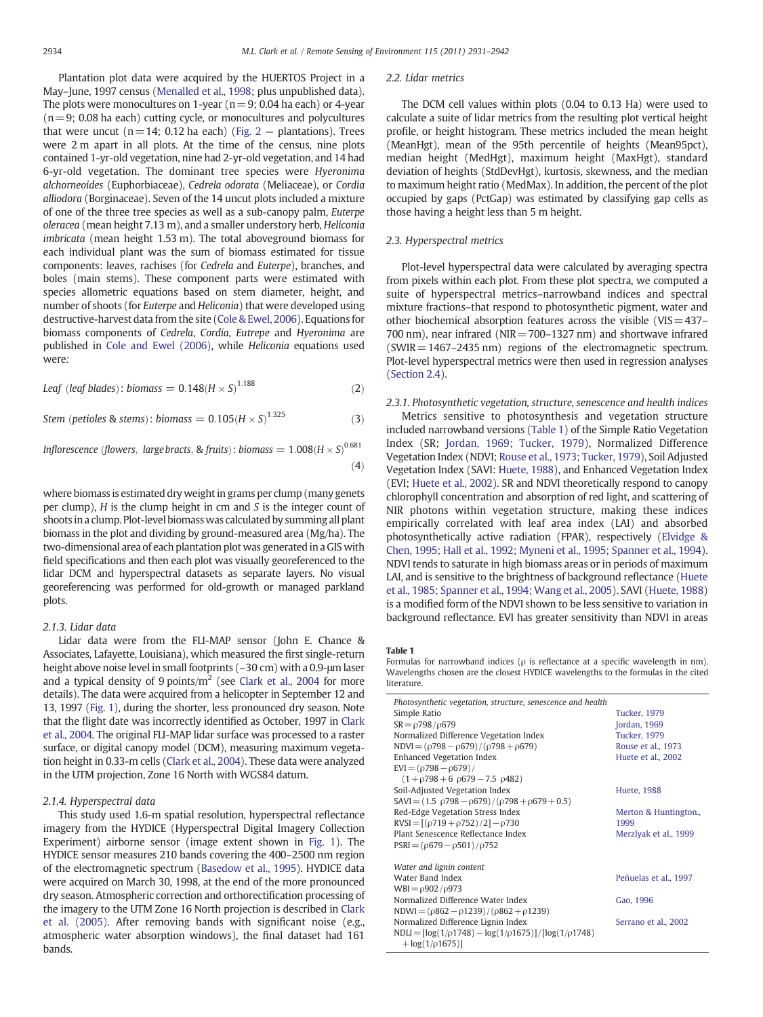<span id="page-3-0"></span>Plantation plot data were acquired by the HUERTOS Project in a May–June, 1997 census [\(Menalled et al., 1998](#page-10-0); plus unpublished data). The plots were monocultures on 1-year ( $n=9$ ; 0.04 ha each) or 4-year  $(n=9; 0.08$  ha each) cutting cycle, or monocultures and polycultures that were uncut ( $n=14$ ; 0.12 ha each) [\(Fig. 2](#page-2-0) – plantations). Trees were 2 m apart in all plots. At the time of the census, nine plots contained 1-yr-old vegetation, nine had 2-yr-old vegetation, and 14 had 6-yr-old vegetation. The dominant tree species were Hyeronima alchorneoides (Euphorbiaceae), Cedrela odorata (Meliaceae), or Cordia alliodora (Borginaceae). Seven of the 14 uncut plots included a mixture of one of the three tree species as well as a sub-canopy palm, Euterpe oleracea (mean height 7.13 m), and a smaller understory herb, Heliconia imbricata (mean height 1.53 m). The total aboveground biomass for each individual plant was the sum of biomass estimated for tissue components: leaves, rachises (for Cedrela and Euterpe), branches, and boles (main stems). These component parts were estimated with species allometric equations based on stem diameter, height, and number of shoots (for Euterpe and Heliconia) that were developed using destructive-harvest data from the site ([Cole & Ewel, 2006\)](#page-10-0). Equations for biomass components of Cedrela, Cordia, Eutrepe and Hyeronima are published in [Cole and Ewel \(2006\),](#page-10-0) while Heliconia equations used were:

$$
Leaf \ (leaf \, blades): \, biomass = 0.148 \left(H \times S\right)^{1.188} \tag{2}
$$

Stem (petioles & stems): biomass =  $0.105(H \times S)^{1.325}$  (3)

Inflorescence (flowers, large bracts, & fruits): biomass  $= 1.008 (H \times S)^{0.681}$ 

where biomass is estimated dry weight in grams per clump (many genets per clump), H is the clump height in cm and S is the integer count of shoots in a clump. Plot-level biomass was calculated by summing all plant biomass in the plot and dividing by ground-measured area (Mg/ha). The two-dimensional area of each plantation plot was generated in a GIS with field specifications and then each plot was visually georeferenced to the lidar DCM and hyperspectral datasets as separate layers. No visual georeferencing was performed for old-growth or managed parkland plots.

### 2.1.3. Lidar data

Lidar data were from the FLI-MAP sensor (John E. Chance & Associates, Lafayette, Louisiana), which measured the first single-return height above noise level in small footprints (~30 cm) with a 0.9-μm laser and a typical density of 9 points/ $m<sup>2</sup>$  (see [Clark et al., 2004](#page-10-0) for more details). The data were acquired from a helicopter in September 12 and 13, 1997 [\(Fig. 1\)](#page-2-0), during the shorter, less pronounced dry season. Note that the flight date was incorrectly identified as October, 1997 in [Clark](#page-10-0) [et al., 2004.](#page-10-0) The original FLI-MAP lidar surface was processed to a raster surface, or digital canopy model (DCM), measuring maximum vegetation height in 0.33-m cells [\(Clark et al., 2004\)](#page-10-0). These data were analyzed in the UTM projection, Zone 16 North with WGS84 datum.

### 2.1.4. Hyperspectral data

This study used 1.6-m spatial resolution, hyperspectral reflectance imagery from the HYDICE (Hyperspectral Digital Imagery Collection Experiment) airborne sensor (image extent shown in [Fig. 1](#page-2-0)). The HYDICE sensor measures 210 bands covering the 400–2500 nm region of the electromagnetic spectrum [\(Basedow et al., 1995](#page-10-0)). HYDICE data were acquired on March 30, 1998, at the end of the more pronounced dry season. Atmospheric correction and orthorectification processing of the imagery to the UTM Zone 16 North projection is described in [Clark](#page-10-0) [et al. \(2005\).](#page-10-0) After removing bands with significant noise (e.g., atmospheric water absorption windows), the final dataset had 161 bands.

#### 2.2. Lidar metrics

The DCM cell values within plots (0.04 to 0.13 Ha) were used to calculate a suite of lidar metrics from the resulting plot vertical height profile, or height histogram. These metrics included the mean height (MeanHgt), mean of the 95th percentile of heights (Mean95pct), median height (MedHgt), maximum height (MaxHgt), standard deviation of heights (StdDevHgt), kurtosis, skewness, and the median to maximum height ratio (MedMax). In addition, the percent of the plot occupied by gaps (PctGap) was estimated by classifying gap cells as those having a height less than 5 m height.

#### 2.3. Hyperspectral metrics

Plot-level hyperspectral data were calculated by averaging spectra from pixels within each plot. From these plot spectra, we computed a suite of hyperspectral metrics–narrowband indices and spectral mixture fractions–that respond to photosynthetic pigment, water and other biochemical absorption features across the visible (VIS $=$ 437– 700 nm), near infrared ( $NIR = 700-1327$  nm) and shortwave infrared (SWIR=1467–2435 nm) regions of the electromagnetic spectrum. Plot-level hyperspectral metrics were then used in regression analyses [\(Section 2.4\)](#page-4-0).

2.3.1. Photosynthetic vegetation, structure, senescence and health indices Metrics sensitive to photosynthesis and vegetation structure included narrowband versions (Table 1) of the Simple Ratio Vegetation Index (SR; [Jordan, 1969; Tucker, 1979](#page-10-0)), Normalized Difference Vegetation Index (NDVI; [Rouse et al., 1973; Tucker, 1979\)](#page-11-0), Soil Adjusted Vegetation Index (SAVI: [Huete, 1988](#page-10-0)), and Enhanced Vegetation Index (EVI; [Huete et al., 2002\)](#page-10-0). SR and NDVI theoretically respond to canopy chlorophyll concentration and absorption of red light, and scattering of NIR photons within vegetation structure, making these indices empirically correlated with leaf area index (LAI) and absorbed photosynthetically active radiation (FPAR), respectively ([Elvidge &](#page-10-0) [Chen, 1995; Hall et al., 1992; Myneni et al., 1995; Spanner et al., 1994\)](#page-10-0). NDVI tends to saturate in high biomass areas or in periods of maximum LAI, and is sensitive to the brightness of background reflectance [\(Huete](#page-10-0) [et al., 1985; Spanner et al., 1994; Wang et al., 2005\)](#page-10-0). SAVI ([Huete, 1988](#page-10-0)) is a modified form of the NDVI shown to be less sensitive to variation in background reflectance. EVI has greater sensitivity than NDVI in areas

#### Table 1

 $(4)$ 

Formulas for narrowband indices ( $\rho$  is reflectance at a specific wavelength in nm). Wavelengths chosen are the closest HYDICE wavelengths to the formulas in the cited literature.

| Photosynthetic vegetation, structure, senescence and health      |                       |
|------------------------------------------------------------------|-----------------------|
| Simple Ratio                                                     | <b>Tucker, 1979</b>   |
| $SR = \frac{1}{98}/6679$                                         | Jordan, 1969          |
| Normalized Difference Vegetation Index                           | <b>Tucker, 1979</b>   |
| $NDVI = (\rho 798 - \rho 679)/(\rho 798 + \rho 679)$             | Rouse et al., 1973    |
| <b>Enhanced Vegetation Index</b>                                 | Huete et al., 2002    |
| $EVI = (p798 - p679)$                                            |                       |
| $(1+\rho798+6 \rho679-7.5 \rho482)$                              |                       |
| Soil-Adjusted Vegetation Index                                   | <b>Huete, 1988</b>    |
| $SAVI = (1.5 \rho 798 - \rho 679) / (\rho 798 + \rho 679 + 0.5)$ |                       |
| Red-Edge Vegetation Stress Index                                 | Merton & Huntington., |
| $RVSI = [(p719 + p752)/2] - p730$                                | 1999                  |
| Plant Senescence Reflectance Index                               | Merziyak et al., 1999 |
| $PSRI = (p679 - p501)/p752$                                      |                       |
|                                                                  |                       |
| Water and lignin content                                         |                       |
| Water Band Index                                                 | Peñuelas et al., 1997 |
| $WBI = \rho 902 / \rho 973$                                      |                       |
| Normalized Difference Water Index                                | Gao. 1996             |
| $NDWI = (\rho 862 - \rho 1239)/(\rho 862 + \rho 1239)$           |                       |
| Normalized Difference Lignin Index                               | Serrano et al., 2002  |
| $NDLI = [log(1/\rho1748) - log(1/\rho1675)]/[log(1/\rho1748)]$   |                       |
| $+log(1/\rho1675)]$                                              |                       |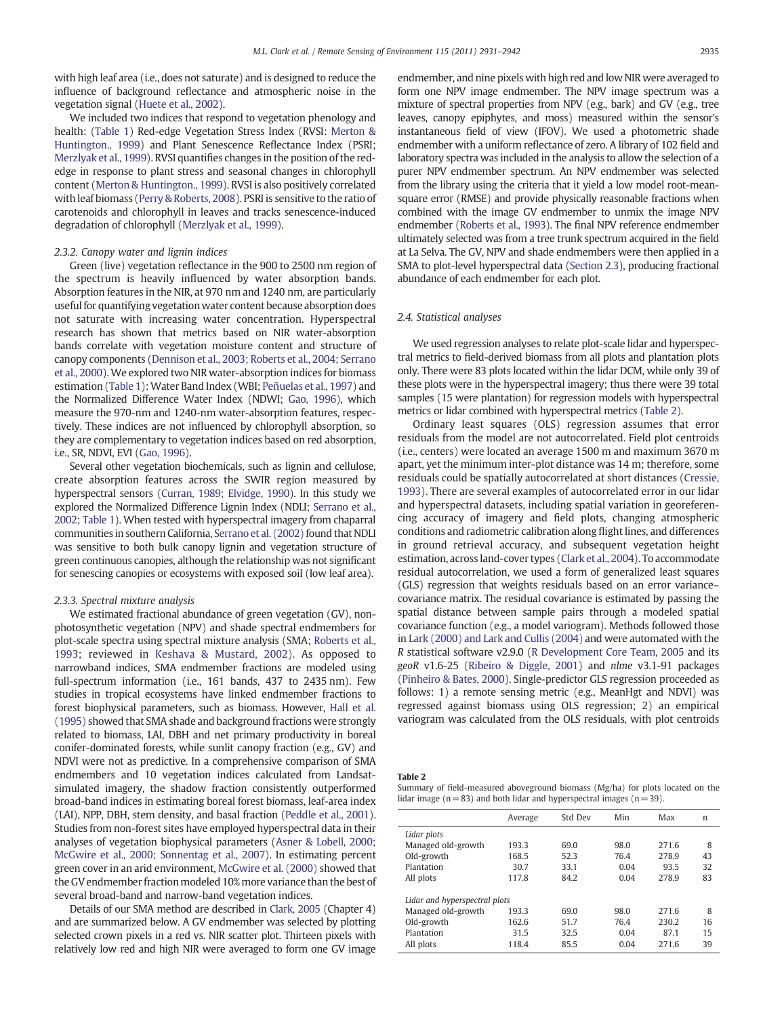<span id="page-4-0"></span>with high leaf area (i.e., does not saturate) and is designed to reduce the influence of background reflectance and atmospheric noise in the vegetation signal [\(Huete et al., 2002\)](#page-10-0).

We included two indices that respond to vegetation phenology and health: [\(Table 1\)](#page-3-0) Red-edge Vegetation Stress Index (RVSI: [Merton &](#page-10-0) [Huntington., 1999](#page-10-0)) and Plant Senescence Reflectance Index (PSRI; [Merzlyak et al., 1999](#page-10-0)). RVSI quantifies changes in the position of the rededge in response to plant stress and seasonal changes in chlorophyll content ([Merton & Huntington., 1999\)](#page-10-0). RVSI is also positively correlated with leaf biomass ([Perry & Roberts, 2008\)](#page-10-0). PSRI is sensitive to the ratio of carotenoids and chlorophyll in leaves and tracks senescence-induced degradation of chlorophyll ([Merzlyak et al., 1999](#page-10-0)).

#### 2.3.2. Canopy water and lignin indices

Green (live) vegetation reflectance in the 900 to 2500 nm region of the spectrum is heavily influenced by water absorption bands. Absorption features in the NIR, at 970 nm and 1240 nm, are particularly useful for quantifying vegetation water content because absorption does not saturate with increasing water concentration. Hyperspectral research has shown that metrics based on NIR water-absorption bands correlate with vegetation moisture content and structure of canopy components ([Dennison et al., 2003; Roberts et al., 2004; Serrano](#page-10-0) [et al., 2000\)](#page-10-0).We explored two NIR water-absorption indices for biomass estimation [\(Table 1](#page-3-0)): Water Band Index (WBI; [Peñuelas et al., 1997](#page-10-0)) and the Normalized Difference Water Index (NDWI; [Gao, 1996](#page-10-0)), which measure the 970-nm and 1240-nm water-absorption features, respectively. These indices are not influenced by chlorophyll absorption, so they are complementary to vegetation indices based on red absorption, i.e., SR, NDVI, EVI ([Gao, 1996](#page-10-0)).

Several other vegetation biochemicals, such as lignin and cellulose, create absorption features across the SWIR region measured by hyperspectral sensors [\(Curran, 1989; Elvidge, 1990](#page-10-0)). In this study we explored the Normalized Difference Lignin Index (NDLI; [Serrano et al.,](#page-11-0) [2002](#page-11-0); [Table 1\)](#page-3-0). When tested with hyperspectral imagery from chaparral communities in southern California, [Serrano et al. \(2002\)](#page-11-0) found that NDLI was sensitive to both bulk canopy lignin and vegetation structure of green continuous canopies, although the relationship was not significant for senescing canopies or ecosystems with exposed soil (low leaf area).

#### 2.3.3. Spectral mixture analysis

We estimated fractional abundance of green vegetation (GV), nonphotosynthetic vegetation (NPV) and shade spectral endmembers for plot-scale spectra using spectral mixture analysis (SMA; [Roberts et al.,](#page-11-0) [1993](#page-11-0); reviewed in [Keshava & Mustard, 2002\)](#page-10-0). As opposed to narrowband indices, SMA endmember fractions are modeled using full-spectrum information (i.e., 161 bands, 437 to 2435 nm). Few studies in tropical ecosystems have linked endmember fractions to forest biophysical parameters, such as biomass. However, [Hall et al.](#page-10-0) [\(1995\)](#page-10-0) showed that SMA shade and background fractions were strongly related to biomass, LAI, DBH and net primary productivity in boreal conifer-dominated forests, while sunlit canopy fraction (e.g., GV) and NDVI were not as predictive. In a comprehensive comparison of SMA endmembers and 10 vegetation indices calculated from Landsatsimulated imagery, the shadow fraction consistently outperformed broad-band indices in estimating boreal forest biomass, leaf-area index (LAI), NPP, DBH, stem density, and basal fraction ([Peddle et al., 2001](#page-10-0)). Studies from non-forest sites have employed hyperspectral data in their analyses of vegetation biophysical parameters [\(Asner & Lobell, 2000;](#page-10-0) [McGwire et al., 2000; Sonnentag et al., 2007\)](#page-10-0). In estimating percent green cover in an arid environment, [McGwire et al. \(2000\)](#page-10-0) showed that the GV endmember fraction modeled 10% more variance than the best of several broad-band and narrow-band vegetation indices.

Details of our SMA method are described in [Clark, 2005](#page-10-0) (Chapter 4) and are summarized below. A GV endmember was selected by plotting selected crown pixels in a red vs. NIR scatter plot. Thirteen pixels with relatively low red and high NIR were averaged to form one GV image endmember, and nine pixels with high red and low NIR were averaged to form one NPV image endmember. The NPV image spectrum was a mixture of spectral properties from NPV (e.g., bark) and GV (e.g., tree leaves, canopy epiphytes, and moss) measured within the sensor's instantaneous field of view (IFOV). We used a photometric shade endmember with a uniform reflectance of zero. A library of 102 field and laboratory spectra was included in the analysis to allow the selection of a purer NPV endmember spectrum. An NPV endmember was selected from the library using the criteria that it yield a low model root-meansquare error (RMSE) and provide physically reasonable fractions when combined with the image GV endmember to unmix the image NPV endmember [\(Roberts et al., 1993](#page-11-0)). The final NPV reference endmember ultimately selected was from a tree trunk spectrum acquired in the field at La Selva. The GV, NPV and shade endmembers were then applied in a SMA to plot-level hyperspectral data [\(Section 2.3](#page-3-0)), producing fractional abundance of each endmember for each plot.

#### 2.4. Statistical analyses

We used regression analyses to relate plot-scale lidar and hyperspectral metrics to field-derived biomass from all plots and plantation plots only. There were 83 plots located within the lidar DCM, while only 39 of these plots were in the hyperspectral imagery; thus there were 39 total samples (15 were plantation) for regression models with hyperspectral metrics or lidar combined with hyperspectral metrics (Table 2).

Ordinary least squares (OLS) regression assumes that error residuals from the model are not autocorrelated. Field plot centroids (i.e., centers) were located an average 1500 m and maximum 3670 m apart, yet the minimum inter-plot distance was 14 m; therefore, some residuals could be spatially autocorrelated at short distances [\(Cressie,](#page-10-0) [1993\)](#page-10-0). There are several examples of autocorrelated error in our lidar and hyperspectral datasets, including spatial variation in georeferencing accuracy of imagery and field plots, changing atmospheric conditions and radiometric calibration along flight lines, and differences in ground retrieval accuracy, and subsequent vegetation height estimation, across land-cover types [\(Clark et al., 2004\)](#page-10-0). To accommodate residual autocorrelation, we used a form of generalized least squares (GLS) regression that weights residuals based on an error variance– covariance matrix. The residual covariance is estimated by passing the spatial distance between sample pairs through a modeled spatial covariance function (e.g., a model variogram). Methods followed those in [Lark \(2000\) and Lark and Cullis \(2004\)](#page-10-0) and were automated with the R statistical software v2.9.0 [\(R Development Core Team, 2005](#page-11-0) and its geoR v1.6-25 ([Ribeiro & Diggle, 2001\)](#page-11-0) and nlme v3.1-91 packages [\(Pinheiro & Bates, 2000\)](#page-11-0). Single-predictor GLS regression proceeded as follows: 1) a remote sensing metric (e.g., MeanHgt and NDVI) was regressed against biomass using OLS regression; 2) an empirical variogram was calculated from the OLS residuals, with plot centroids

Table 2

Summary of field-measured aboveground biomass (Mg/ha) for plots located on the lidar image ( $n= 83$ ) and both lidar and hyperspectral images ( $n= 39$ ).

| Average                       | Std Dev | Min  | Max   | n  |
|-------------------------------|---------|------|-------|----|
|                               |         |      |       |    |
| 193.3                         | 69.0    | 98.0 | 271.6 | 8  |
| 168.5                         | 52.3    | 76.4 | 278.9 | 43 |
| 30.7                          | 33.1    | 0.04 | 93.5  | 32 |
| 117.8                         | 84.2    | 0.04 | 278.9 | 83 |
| Lidar and hyperspectral plots |         |      |       |    |
| 193.3                         | 69.0    | 98.0 | 271.6 | 8  |
| 162.6                         | 51.7    | 76.4 | 230.2 | 16 |
| 31.5                          | 32.5    | 0.04 | 87.1  | 15 |
| 118.4                         | 85.5    | 0.04 | 271.6 | 39 |
|                               |         |      |       |    |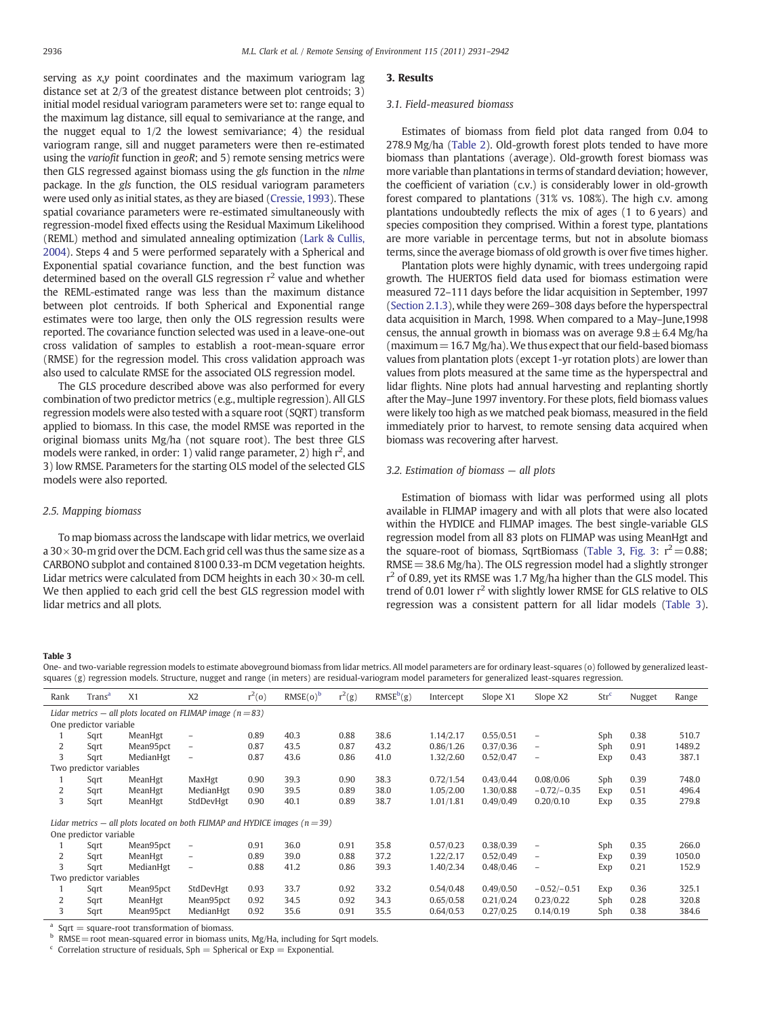<span id="page-5-0"></span>serving as  $x,y$  point coordinates and the maximum variogram lag distance set at 2/3 of the greatest distance between plot centroids; 3) initial model residual variogram parameters were set to: range equal to the maximum lag distance, sill equal to semivariance at the range, and the nugget equal to 1/2 the lowest semivariance; 4) the residual variogram range, sill and nugget parameters were then re-estimated using the variofit function in geoR; and 5) remote sensing metrics were then GLS regressed against biomass using the gls function in the nlme package. In the gls function, the OLS residual variogram parameters were used only as initial states, as they are biased [\(Cressie, 1993](#page-10-0)). These spatial covariance parameters were re-estimated simultaneously with regression-model fixed effects using the Residual Maximum Likelihood (REML) method and simulated annealing optimization [\(Lark & Cullis,](#page-10-0) [2004\)](#page-10-0). Steps 4 and 5 were performed separately with a Spherical and Exponential spatial covariance function, and the best function was determined based on the overall GLS regression  $r^2$  value and whether the REML-estimated range was less than the maximum distance between plot centroids. If both Spherical and Exponential range estimates were too large, then only the OLS regression results were reported. The covariance function selected was used in a leave-one-out cross validation of samples to establish a root-mean-square error (RMSE) for the regression model. This cross validation approach was also used to calculate RMSE for the associated OLS regression model.

The GLS procedure described above was also performed for every combination of two predictor metrics (e.g., multiple regression). All GLS regression models were also tested with a square root (SQRT) transform applied to biomass. In this case, the model RMSE was reported in the original biomass units Mg/ha (not square root). The best three GLS models were ranked, in order: 1) valid range parameter, 2) high r<sup>2</sup>, and 3) low RMSE. Parameters for the starting OLS model of the selected GLS models were also reported.

#### 2.5. Mapping biomass

To map biomass across the landscape with lidar metrics, we overlaid a  $30\times30$ -m grid over the DCM. Each grid cell was thus the same size as a CARBONO subplot and contained 8100 0.33-m DCM vegetation heights. Lidar metrics were calculated from DCM heights in each  $30 \times 30$ -m cell. We then applied to each grid cell the best GLS regression model with lidar metrics and all plots.

#### 3. Results

#### 3.1. Field-measured biomass

Estimates of biomass from field plot data ranged from 0.04 to 278.9 Mg/ha ([Table 2](#page-4-0)). Old-growth forest plots tended to have more biomass than plantations (average). Old-growth forest biomass was more variable than plantations in terms of standard deviation; however, the coefficient of variation (c.v.) is considerably lower in old-growth forest compared to plantations (31% vs. 108%). The high c.v. among plantations undoubtedly reflects the mix of ages (1 to 6 years) and species composition they comprised. Within a forest type, plantations are more variable in percentage terms, but not in absolute biomass terms, since the average biomass of old growth is over five times higher.

Plantation plots were highly dynamic, with trees undergoing rapid growth. The HUERTOS field data used for biomass estimation were measured 72–111 days before the lidar acquisition in September, 1997 [\(Section 2.1.3\)](#page-3-0), while they were 269–308 days before the hyperspectral data acquisition in March, 1998. When compared to a May–June,1998 census, the annual growth in biomass was on average  $9.8 \pm 6.4$  Mg/ha (maximum  $=16.7$  Mg/ha). We thus expect that our field-based biomass values from plantation plots (except 1-yr rotation plots) are lower than values from plots measured at the same time as the hyperspectral and lidar flights. Nine plots had annual harvesting and replanting shortly after the May–June 1997 inventory. For these plots, field biomass values were likely too high as we matched peak biomass, measured in the field immediately prior to harvest, to remote sensing data acquired when biomass was recovering after harvest.

#### 3.2. Estimation of biomass — all plots

Estimation of biomass with lidar was performed using all plots available in FLIMAP imagery and with all plots that were also located within the HYDICE and FLIMAP images. The best single-variable GLS regression model from all 83 plots on FLIMAP was using MeanHgt and the square-root of biomass, SqrtBiomass (Table 3, [Fig. 3](#page-6-0):  $r^2 = 0.88$ ;  $RMSE = 38.6$  Mg/ha). The OLS regression model had a slightly stronger r<sup>2</sup> of 0.89, yet its RMSE was 1.7 Mg/ha higher than the GLS model. This trend of 0.01 lower  $r^2$  with slightly lower RMSE for GLS relative to OLS regression was a consistent pattern for all lidar models (Table 3).

#### Table 3

One- and two-variable regression models to estimate aboveground biomass from lidar metrics. All model parameters are for ordinary least-squares (o) followed by generalized leastsquares (g) regression models. Structure, nugget and range (in meters) are residual-variogram model parameters for generalized least-squares regression.

| Rank                                                           | Trans <sup>a</sup>      | X1                                                                              | X <sub>2</sub>           | $r^2(0)$ | $RMSE(o)^b$ | $r^2(g)$ | $RMSE^b(g)$ | Intercept | Slope X1  | Slope X2                 | Str <sup>c</sup> | Nugget | Range  |
|----------------------------------------------------------------|-------------------------|---------------------------------------------------------------------------------|--------------------------|----------|-------------|----------|-------------|-----------|-----------|--------------------------|------------------|--------|--------|
| Lidar metrics – all plots located on FLIMAP image ( $n = 83$ ) |                         |                                                                                 |                          |          |             |          |             |           |           |                          |                  |        |        |
|                                                                | One predictor variable  |                                                                                 |                          |          |             |          |             |           |           |                          |                  |        |        |
|                                                                | Sqrt                    | MeanHgt                                                                         | $\overline{\phantom{a}}$ | 0.89     | 40.3        | 0.88     | 38.6        | 1.14/2.17 | 0.55/0.51 | $\qquad \qquad -$        | Sph              | 0.38   | 510.7  |
| 2                                                              | Sqrt                    | Mean95pct                                                                       | $\overline{\phantom{a}}$ | 0.87     | 43.5        | 0.87     | 43.2        | 0.86/1.26 | 0.37/0.36 | $\qquad \qquad -$        | Sph              | 0.91   | 1489.2 |
| 3                                                              | Sqrt                    | MedianHgt                                                                       | $\qquad \qquad -$        | 0.87     | 43.6        | 0.86     | 41.0        | 1.32/2.60 | 0.52/0.47 | $\qquad \qquad -$        | Exp              | 0.43   | 387.1  |
|                                                                | Two predictor variables |                                                                                 |                          |          |             |          |             |           |           |                          |                  |        |        |
|                                                                | Sqrt                    | MeanHgt                                                                         | MaxHgt                   | 0.90     | 39.3        | 0.90     | 38.3        | 0.72/1.54 | 0.43/0.44 | 0.08/0.06                | Sph              | 0.39   | 748.0  |
| 2                                                              | Sqrt                    | MeanHgt                                                                         | MedianHgt                | 0.90     | 39.5        | 0.89     | 38.0        | 1.05/2.00 | 1.30/0.88 | $-0.72/-0.35$            | Exp              | 0.51   | 496.4  |
| 3                                                              | Sqrt                    | MeanHgt                                                                         | StdDevHgt                | 0.90     | 40.1        | 0.89     | 38.7        | 1.01/1.81 | 0.49/0.49 | 0.20/0.10                | Exp              | 0.35   | 279.8  |
|                                                                |                         | Lidar metrics – all plots located on both FLIMAP and HYDICE images ( $n = 39$ ) |                          |          |             |          |             |           |           |                          |                  |        |        |
|                                                                | One predictor variable  |                                                                                 |                          |          |             |          |             |           |           |                          |                  |        |        |
|                                                                | Sqrt                    | Mean95pct                                                                       | $\qquad \qquad -$        | 0.91     | 36.0        | 0.91     | 35.8        | 0.57/0.23 | 0.38/0.39 | $\qquad \qquad -$        | Sph              | 0.35   | 266.0  |
| 2                                                              | Sqrt                    | MeanHgt                                                                         | $\overline{\phantom{m}}$ | 0.89     | 39.0        | 0.88     | 37.2        | 1.22/2.17 | 0.52/0.49 | $\qquad \qquad -$        | Exp              | 0.39   | 1050.0 |
| 3                                                              | Sqrt                    | MedianHgt                                                                       | $\qquad \qquad -$        | 0.88     | 41.2        | 0.86     | 39.3        | 1.40/2.34 | 0.48/0.46 | $\overline{\phantom{m}}$ | Exp              | 0.21   | 152.9  |
| Two predictor variables                                        |                         |                                                                                 |                          |          |             |          |             |           |           |                          |                  |        |        |
|                                                                | Sqrt                    | Mean95pct                                                                       | StdDevHgt                | 0.93     | 33.7        | 0.92     | 33.2        | 0.54/0.48 | 0.49/0.50 | $-0.52/-0.51$            | Exp              | 0.36   | 325.1  |
| 2                                                              | Sqrt                    | MeanHgt                                                                         | Mean95pct                | 0.92     | 34.5        | 0.92     | 34.3        | 0.65/0.58 | 0.21/0.24 | 0.23/0.22                | Sph              | 0.28   | 320.8  |
| 3                                                              | Sqrt                    | Mean95pct                                                                       | MedianHgt                | 0.92     | 35.6        | 0.91     | 35.5        | 0.64/0.53 | 0.27/0.25 | 0.14/0.19                | Sph              | 0.38   | 384.6  |

 $a$  Sqrt = square-root transformation of biomass.

 $h$  RMSE = root mean-squared error in biomass units, Mg/Ha, including for Sqrt models.

 $\epsilon$  Correlation structure of residuals, Sph = Spherical or Exp = Exponential.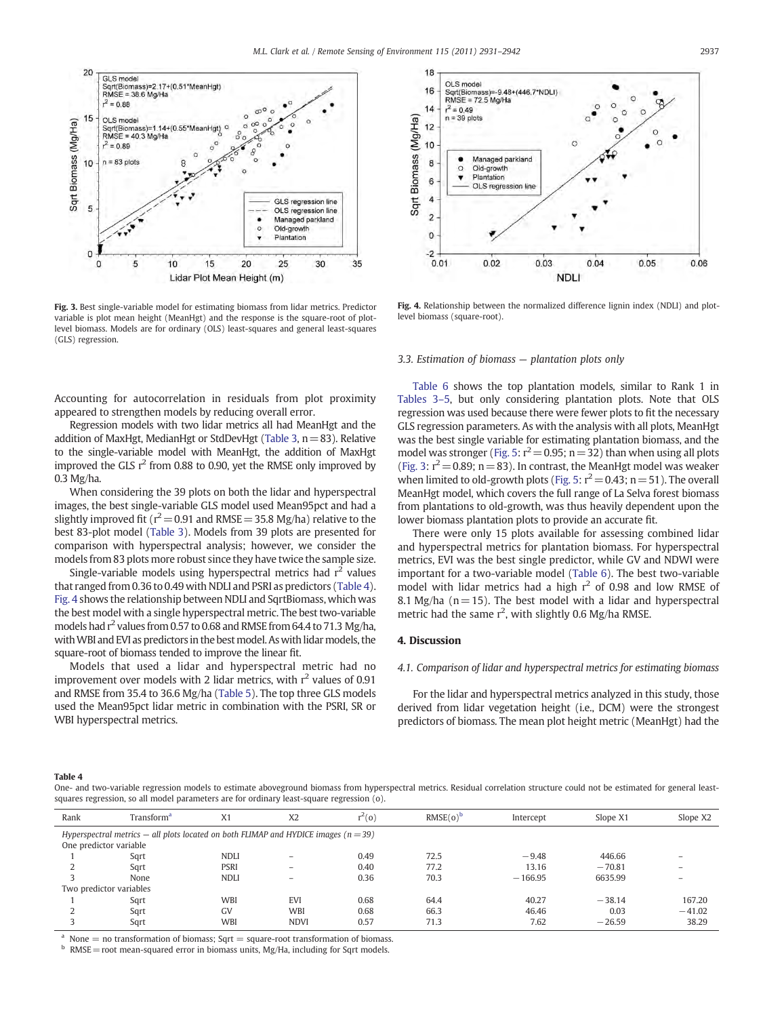<span id="page-6-0"></span>![](_page_6_Figure_1.jpeg)

Fig. 3. Best single-variable model for estimating biomass from lidar metrics. Predictor variable is plot mean height (MeanHgt) and the response is the square-root of plotlevel biomass. Models are for ordinary (OLS) least-squares and general least-squares (GLS) regression.

Accounting for autocorrelation in residuals from plot proximity appeared to strengthen models by reducing overall error.

Regression models with two lidar metrics all had MeanHgt and the addition of MaxHgt, MedianHgt or StdDevHgt [\(Table 3,](#page-5-0)  $n=83$ ). Relative to the single-variable model with MeanHgt, the addition of MaxHgt improved the GLS  $r^2$  from 0.88 to 0.90, yet the RMSE only improved by 0.3 Mg/ha.

When considering the 39 plots on both the lidar and hyperspectral images, the best single-variable GLS model used Mean95pct and had a slightly improved fit ( $r^2$  = 0.91 and RMSE = 35.8 Mg/ha) relative to the best 83-plot model [\(Table 3](#page-5-0)). Models from 39 plots are presented for comparison with hyperspectral analysis; however, we consider the models from 83 plots more robust since they have twice the sample size.

Single-variable models using hyperspectral metrics had  $r^2$  values that ranged from 0.36 to 0.49 with NDLI and PSRI as predictors (Table 4). Fig. 4 shows the relationship between NDLI and SqrtBiomass, which was the best model with a single hyperspectral metric. The best two-variable models had  $r^2$  values from 0.57 to 0.68 and RMSE from 64.4 to 71.3 Mg/ha, with WBI and EVI as predictors in the best model. As with lidar models, the square-root of biomass tended to improve the linear fit.

Models that used a lidar and hyperspectral metric had no improvement over models with 2 lidar metrics, with  $r^2$  values of 0.91 and RMSE from 35.4 to 36.6 Mg/ha ([Table 5](#page-7-0)). The top three GLS models used the Mean95pct lidar metric in combination with the PSRI, SR or WBI hyperspectral metrics.

![](_page_6_Figure_8.jpeg)

Fig. 4. Relationship between the normalized difference lignin index (NDLI) and plotlevel biomass (square-root).

#### 3.3. Estimation of biomass — plantation plots only

[Table 6](#page-7-0) shows the top plantation models, similar to Rank 1 in [Tables 3](#page-5-0)–5, but only considering plantation plots. Note that OLS regression was used because there were fewer plots to fit the necessary GLS regression parameters. As with the analysis with all plots, MeanHgt was the best single variable for estimating plantation biomass, and the model was stronger ([Fig. 5](#page-8-0):  $r^2$  = 0.95; n = 32) than when using all plots (Fig. 3:  $r^2$  = 0.89; n = 83). In contrast, the MeanHgt model was weaker when limited to old-growth plots [\(Fig. 5:](#page-8-0)  $r^2$  = 0.43; n = 51). The overall MeanHgt model, which covers the full range of La Selva forest biomass from plantations to old-growth, was thus heavily dependent upon the lower biomass plantation plots to provide an accurate fit.

There were only 15 plots available for assessing combined lidar and hyperspectral metrics for plantation biomass. For hyperspectral metrics, EVI was the best single predictor, while GV and NDWI were important for a two-variable model [\(Table 6\)](#page-7-0). The best two-variable model with lidar metrics had a high  $r^2$  of 0.98 and low RMSE of 8.1 Mg/ha ( $n = 15$ ). The best model with a lidar and hyperspectral metric had the same  $r^2$ , with slightly 0.6 Mg/ha RMSE.

#### 4. Discussion

#### 4.1. Comparison of lidar and hyperspectral metrics for estimating biomass

For the lidar and hyperspectral metrics analyzed in this study, those derived from lidar vegetation height (i.e., DCM) were the strongest predictors of biomass. The mean plot height metric (MeanHgt) had the

#### Table 4

One- and two-variable regression models to estimate aboveground biomass from hyperspectral metrics. Residual correlation structure could not be estimated for general leastsquares regression, so all model parameters are for ordinary least-square regression (o).

| Rank                                                                                      | Transform <sup>a</sup>  | X <sub>1</sub> | X <sub>2</sub>           | $r^2(0)$ | $RMSE(o)^b$ | Intercept | Slope X1 | Slope X2 |  |
|-------------------------------------------------------------------------------------------|-------------------------|----------------|--------------------------|----------|-------------|-----------|----------|----------|--|
| Hyperspectral metrics $-$ all plots located on both FLIMAP and HYDICE images ( $n = 39$ ) |                         |                |                          |          |             |           |          |          |  |
|                                                                                           | One predictor variable  |                |                          |          |             |           |          |          |  |
|                                                                                           | Sqrt                    | NDLI           | $\overline{\phantom{m}}$ | 0.49     | 72.5        | $-9.48$   | 446.66   |          |  |
|                                                                                           | Sqrt                    | PSRI           | $\overline{\phantom{0}}$ | 0.40     | 77.2        | 13.16     | $-70.81$ |          |  |
|                                                                                           | None                    | <b>NDLI</b>    | $\overline{\phantom{m}}$ | 0.36     | 70.3        | $-166.95$ | 6635.99  |          |  |
|                                                                                           | Two predictor variables |                |                          |          |             |           |          |          |  |
|                                                                                           | Sqrt                    | <b>WBI</b>     | <b>EVI</b>               | 0.68     | 64.4        | 40.27     | $-38.14$ | 167.20   |  |
|                                                                                           | Sqrt                    | GV             | <b>WBI</b>               | 0.68     | 66.3        | 46.46     | 0.03     | $-41.02$ |  |
|                                                                                           | Sqrt                    | <b>WBI</b>     | <b>NDVI</b>              | 0.57     | 71.3        | 7.62      | $-26.59$ | 38.29    |  |

<sup>a</sup> None = no transformation of biomass; Sqrt = square-root transformation of biomass.

 $RMSE$  = root mean-squared error in biomass units, Mg/Ha, including for Sqrt models.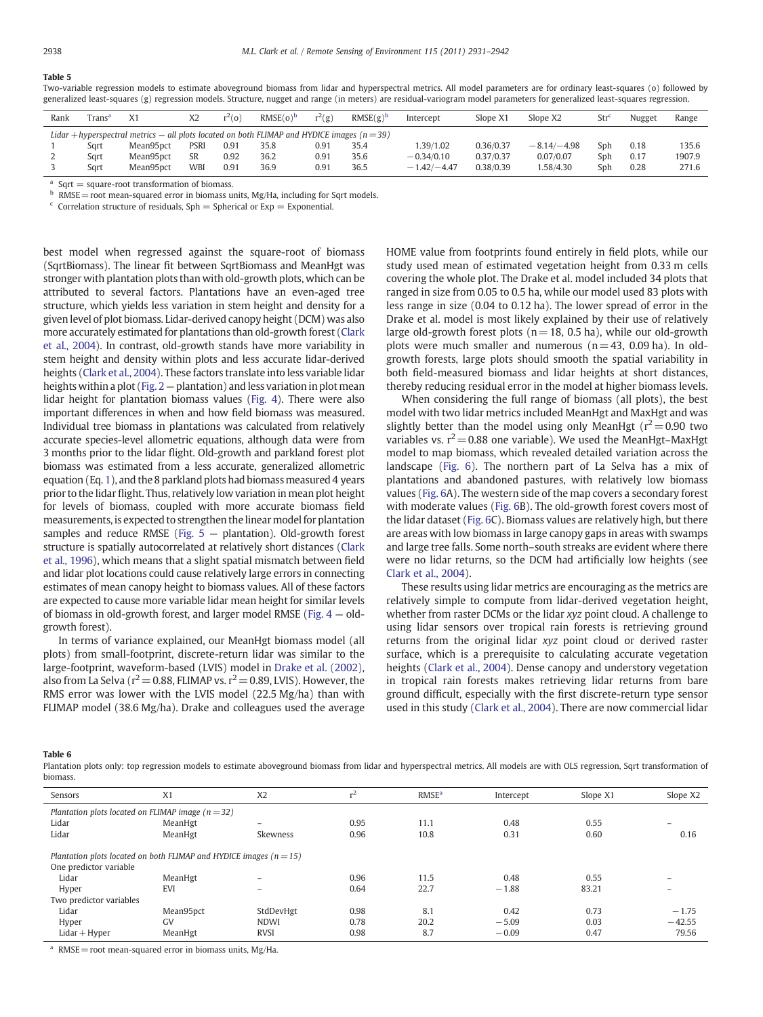#### <span id="page-7-0"></span>Table 5

Two-variable regression models to estimate aboveground biomass from lidar and hyperspectral metrics. All model parameters are for ordinary least-squares (o) followed by generalized least-squares (g) regression models. Structure, nugget and range (in meters) are residual-variogram model parameters for generalized least-squares regression.

| Rank                                                                                              | $\text{Trans}^{\mathbf{a}}$ | X <sub>1</sub> | X <sub>2</sub> | $r^2(0)$      | $RMSE(o)^b$ | $r^2(g)$ | $RMSE(g)^b$ | Intercept     | Slope X1  | Slope X2      | Str' | Nugget | Range  |
|---------------------------------------------------------------------------------------------------|-----------------------------|----------------|----------------|---------------|-------------|----------|-------------|---------------|-----------|---------------|------|--------|--------|
| Lidar + hyperspectral metrics $-$ all plots located on both FLIMAP and HYDICE images ( $n = 39$ ) |                             |                |                |               |             |          |             |               |           |               |      |        |        |
|                                                                                                   | Sart                        | Mean95pct      | <b>PSRI</b>    | $0.9^{\circ}$ | 35.8        | 0.91     | 35.4        | .39/1.02      | 0.36/0.37 | $-8.14/-4.98$ | Sph  | 0.18   | 135.6  |
|                                                                                                   | Sart                        | Mean95pct      | SR             | 0.92          | 36.2        | 0.91     | 35.6        | $-0.34/0.10$  | 0.37/0.37 | 0.07/0.07     | Sph  | 0.17   | 1907.9 |
|                                                                                                   | Sart                        | Mean95pct      | WBI            | 0.91          | 36.9        | 0.91     | 36.5        | $-1.42/-4.47$ | 0.38/0.39 | .58/4.30      | Sph  | 0.28   | 271.6  |

<sup>a</sup> Sqrt  $=$  square-root transformation of biomass.

**b** RMSE = root mean-squared error in biomass units, Mg/Ha, including for Sqrt models.

 $\epsilon$  Correlation structure of residuals, Sph = Spherical or Exp = Exponential.

best model when regressed against the square-root of biomass (SqrtBiomass). The linear fit between SqrtBiomass and MeanHgt was stronger with plantation plots than with old-growth plots, which can be attributed to several factors. Plantations have an even-aged tree structure, which yields less variation in stem height and density for a given level of plot biomass. Lidar-derived canopy height (DCM) was also more accurately estimated for plantations than old-growth forest [\(Clark](#page-10-0) [et al., 2004\)](#page-10-0). In contrast, old-growth stands have more variability in stem height and density within plots and less accurate lidar-derived heights ([Clark et al., 2004](#page-10-0)). These factors translate into less variable lidar heights within a plot [\(Fig. 2](#page-2-0) — plantation) and less variation in plot mean lidar height for plantation biomass values [\(Fig. 4](#page-6-0)). There were also important differences in when and how field biomass was measured. Individual tree biomass in plantations was calculated from relatively accurate species-level allometric equations, although data were from 3 months prior to the lidar flight. Old-growth and parkland forest plot biomass was estimated from a less accurate, generalized allometric equation (Eq. [1](#page-2-0)), and the 8 parkland plots had biomass measured 4 years prior to the lidar flight. Thus, relatively low variation in mean plot height for levels of biomass, coupled with more accurate biomass field measurements, is expected to strengthen the linear model for plantation samples and reduce RMSE (Fig.  $5$  – plantation). Old-growth forest structure is spatially autocorrelated at relatively short distances [\(Clark](#page-10-0) [et al., 1996](#page-10-0)), which means that a slight spatial mismatch between field and lidar plot locations could cause relatively large errors in connecting estimates of mean canopy height to biomass values. All of these factors are expected to cause more variable lidar mean height for similar levels of biomass in old-growth forest, and larger model RMSE [\(Fig. 4](#page-6-0) — oldgrowth forest).

In terms of variance explained, our MeanHgt biomass model (all plots) from small-footprint, discrete-return lidar was similar to the large-footprint, waveform-based (LVIS) model in [Drake et al. \(2002\),](#page-10-0) also from La Selva ( $r^2$  = 0.88, FLIMAP vs.  $r^2$  = 0.89, LVIS). However, the RMS error was lower with the LVIS model (22.5 Mg/ha) than with FLIMAP model (38.6 Mg/ha). Drake and colleagues used the average HOME value from footprints found entirely in field plots, while our study used mean of estimated vegetation height from 0.33 m cells covering the whole plot. The Drake et al. model included 34 plots that ranged in size from 0.05 to 0.5 ha, while our model used 83 plots with less range in size (0.04 to 0.12 ha). The lower spread of error in the Drake et al. model is most likely explained by their use of relatively large old-growth forest plots ( $n= 18$ , 0.5 ha), while our old-growth plots were much smaller and numerous  $(n= 43, 0.09 h a)$ . In oldgrowth forests, large plots should smooth the spatial variability in both field-measured biomass and lidar heights at short distances, thereby reducing residual error in the model at higher biomass levels.

When considering the full range of biomass (all plots), the best model with two lidar metrics included MeanHgt and MaxHgt and was slightly better than the model using only MeanHgt ( $r^2$  = 0.90 two variables vs.  $r^2$  = 0.88 one variable). We used the MeanHgt–MaxHgt model to map biomass, which revealed detailed variation across the landscape [\(Fig. 6\)](#page-9-0). The northern part of La Selva has a mix of plantations and abandoned pastures, with relatively low biomass values ([Fig. 6](#page-9-0)A). The western side of the map covers a secondary forest with moderate values ([Fig. 6B](#page-9-0)). The old-growth forest covers most of the lidar dataset ([Fig. 6C](#page-9-0)). Biomass values are relatively high, but there are areas with low biomass in large canopy gaps in areas with swamps and large tree falls. Some north–south streaks are evident where there were no lidar returns, so the DCM had artificially low heights (see [Clark et al., 2004\)](#page-10-0).

These results using lidar metrics are encouraging as the metrics are relatively simple to compute from lidar-derived vegetation height, whether from raster DCMs or the lidar xyz point cloud. A challenge to using lidar sensors over tropical rain forests is retrieving ground returns from the original lidar xyz point cloud or derived raster surface, which is a prerequisite to calculating accurate vegetation heights [\(Clark et al., 2004](#page-10-0)). Dense canopy and understory vegetation in tropical rain forests makes retrieving lidar returns from bare ground difficult, especially with the first discrete-return type sensor used in this study ([Clark et al., 2004](#page-10-0)). There are now commercial lidar

#### Table 6

Plantation plots only: top regression models to estimate aboveground biomass from lidar and hyperspectral metrics. All models are with OLS regression, Sqrt transformation of biomass.

| Sensors                                                                                          | X1         | X <sub>2</sub> | r <sub>2</sub> | <b>RMSE<sup>a</sup></b> | Intercept | Slope X1 | Slope X2 |  |  |
|--------------------------------------------------------------------------------------------------|------------|----------------|----------------|-------------------------|-----------|----------|----------|--|--|
| Plantation plots located on FLIMAP image ( $n = 32$ )                                            |            |                |                |                         |           |          |          |  |  |
| Lidar                                                                                            | MeanHgt    | -              | 0.95           | 11.1                    | 0.48      | 0.55     |          |  |  |
| Lidar                                                                                            | MeanHgt    | Skewness       | 0.96           | 10.8                    | 0.31      | 0.60     | 0.16     |  |  |
| Plantation plots located on both FLIMAP and HYDICE images ( $n = 15$ )<br>One predictor variable |            |                |                |                         |           |          |          |  |  |
| Lidar                                                                                            | MeanHgt    |                | 0.96           | 11.5                    | 0.48      | 0.55     |          |  |  |
| Hyper                                                                                            | <b>EVI</b> |                | 0.64           | 22.7                    | $-1.88$   | 83.21    |          |  |  |
| Two predictor variables                                                                          |            |                |                |                         |           |          |          |  |  |
| Lidar                                                                                            | Mean95pct  | StdDevHgt      | 0.98           | 8.1                     | 0.42      | 0.73     | $-1.75$  |  |  |
| Hyper                                                                                            | GV         | <b>NDWI</b>    | 0.78           | 20.2                    | $-5.09$   | 0.03     | $-42.55$ |  |  |
| $Lidar + Hyper$                                                                                  | MeanHgt    | <b>RVSI</b>    | 0.98           | 8.7                     | $-0.09$   | 0.47     | 79.56    |  |  |

<sup>a</sup> RMSE = root mean-squared error in biomass units, Mg/Ha.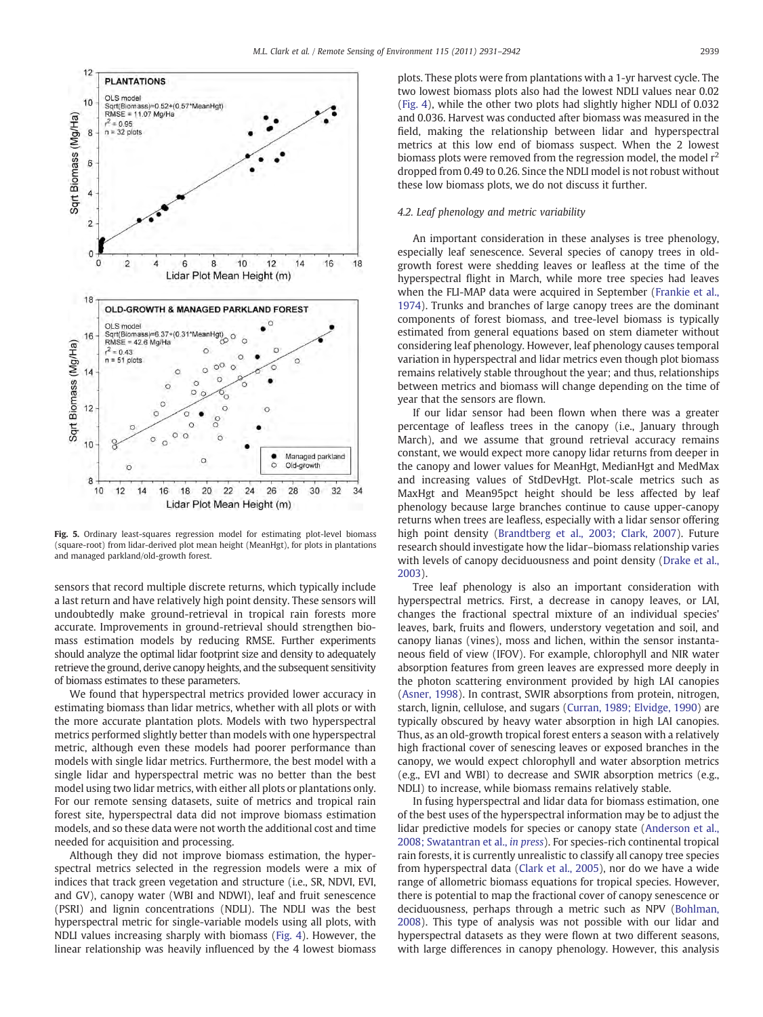<span id="page-8-0"></span>![](_page_8_Figure_1.jpeg)

Fig. 5. Ordinary least-squares regression model for estimating plot-level biomass (square-root) from lidar-derived plot mean height (MeanHgt), for plots in plantations and managed parkland/old-growth forest.

sensors that record multiple discrete returns, which typically include a last return and have relatively high point density. These sensors will undoubtedly make ground-retrieval in tropical rain forests more accurate. Improvements in ground-retrieval should strengthen biomass estimation models by reducing RMSE. Further experiments should analyze the optimal lidar footprint size and density to adequately retrieve the ground, derive canopy heights, and the subsequent sensitivity of biomass estimates to these parameters.

We found that hyperspectral metrics provided lower accuracy in estimating biomass than lidar metrics, whether with all plots or with the more accurate plantation plots. Models with two hyperspectral metrics performed slightly better than models with one hyperspectral metric, although even these models had poorer performance than models with single lidar metrics. Furthermore, the best model with a single lidar and hyperspectral metric was no better than the best model using two lidar metrics, with either all plots or plantations only. For our remote sensing datasets, suite of metrics and tropical rain forest site, hyperspectral data did not improve biomass estimation models, and so these data were not worth the additional cost and time needed for acquisition and processing.

Although they did not improve biomass estimation, the hyperspectral metrics selected in the regression models were a mix of indices that track green vegetation and structure (i.e., SR, NDVI, EVI, and GV), canopy water (WBI and NDWI), leaf and fruit senescence (PSRI) and lignin concentrations (NDLI). The NDLI was the best hyperspectral metric for single-variable models using all plots, with NDLI values increasing sharply with biomass ([Fig. 4\)](#page-6-0). However, the linear relationship was heavily influenced by the 4 lowest biomass

plots. These plots were from plantations with a 1-yr harvest cycle. The two lowest biomass plots also had the lowest NDLI values near 0.02 [\(Fig. 4\)](#page-6-0), while the other two plots had slightly higher NDLI of 0.032 and 0.036. Harvest was conducted after biomass was measured in the field, making the relationship between lidar and hyperspectral metrics at this low end of biomass suspect. When the 2 lowest biomass plots were removed from the regression model, the model  $r<sup>2</sup>$ dropped from 0.49 to 0.26. Since the NDLI model is not robust without these low biomass plots, we do not discuss it further.

#### 4.2. Leaf phenology and metric variability

An important consideration in these analyses is tree phenology, especially leaf senescence. Several species of canopy trees in oldgrowth forest were shedding leaves or leafless at the time of the hyperspectral flight in March, while more tree species had leaves when the FLI-MAP data were acquired in September ([Frankie et al.,](#page-10-0) [1974\)](#page-10-0). Trunks and branches of large canopy trees are the dominant components of forest biomass, and tree-level biomass is typically estimated from general equations based on stem diameter without considering leaf phenology. However, leaf phenology causes temporal variation in hyperspectral and lidar metrics even though plot biomass remains relatively stable throughout the year; and thus, relationships between metrics and biomass will change depending on the time of year that the sensors are flown.

If our lidar sensor had been flown when there was a greater percentage of leafless trees in the canopy (i.e., January through March), and we assume that ground retrieval accuracy remains constant, we would expect more canopy lidar returns from deeper in the canopy and lower values for MeanHgt, MedianHgt and MedMax and increasing values of StdDevHgt. Plot-scale metrics such as MaxHgt and Mean95pct height should be less affected by leaf phenology because large branches continue to cause upper-canopy returns when trees are leafless, especially with a lidar sensor offering high point density [\(Brandtberg et al., 2003; Clark, 2007](#page-10-0)). Future research should investigate how the lidar–biomass relationship varies with levels of canopy deciduousness and point density ([Drake et al.,](#page-10-0) [2003\)](#page-10-0).

Tree leaf phenology is also an important consideration with hyperspectral metrics. First, a decrease in canopy leaves, or LAI, changes the fractional spectral mixture of an individual species' leaves, bark, fruits and flowers, understory vegetation and soil, and canopy lianas (vines), moss and lichen, within the sensor instantaneous field of view (IFOV). For example, chlorophyll and NIR water absorption features from green leaves are expressed more deeply in the photon scattering environment provided by high LAI canopies [\(Asner, 1998\)](#page-9-0). In contrast, SWIR absorptions from protein, nitrogen, starch, lignin, cellulose, and sugars [\(Curran, 1989; Elvidge, 1990](#page-10-0)) are typically obscured by heavy water absorption in high LAI canopies. Thus, as an old-growth tropical forest enters a season with a relatively high fractional cover of senescing leaves or exposed branches in the canopy, we would expect chlorophyll and water absorption metrics (e.g., EVI and WBI) to decrease and SWIR absorption metrics (e.g., NDLI) to increase, while biomass remains relatively stable.

In fusing hyperspectral and lidar data for biomass estimation, one of the best uses of the hyperspectral information may be to adjust the lidar predictive models for species or canopy state ([Anderson et al.,](#page-9-0) [2008; Swatantran et al.,](#page-9-0) in press). For species-rich continental tropical rain forests, it is currently unrealistic to classify all canopy tree species from hyperspectral data [\(Clark et al., 2005\)](#page-10-0), nor do we have a wide range of allometric biomass equations for tropical species. However, there is potential to map the fractional cover of canopy senescence or deciduousness, perhaps through a metric such as NPV [\(Bohlman,](#page-10-0) [2008\)](#page-10-0). This type of analysis was not possible with our lidar and hyperspectral datasets as they were flown at two different seasons, with large differences in canopy phenology. However, this analysis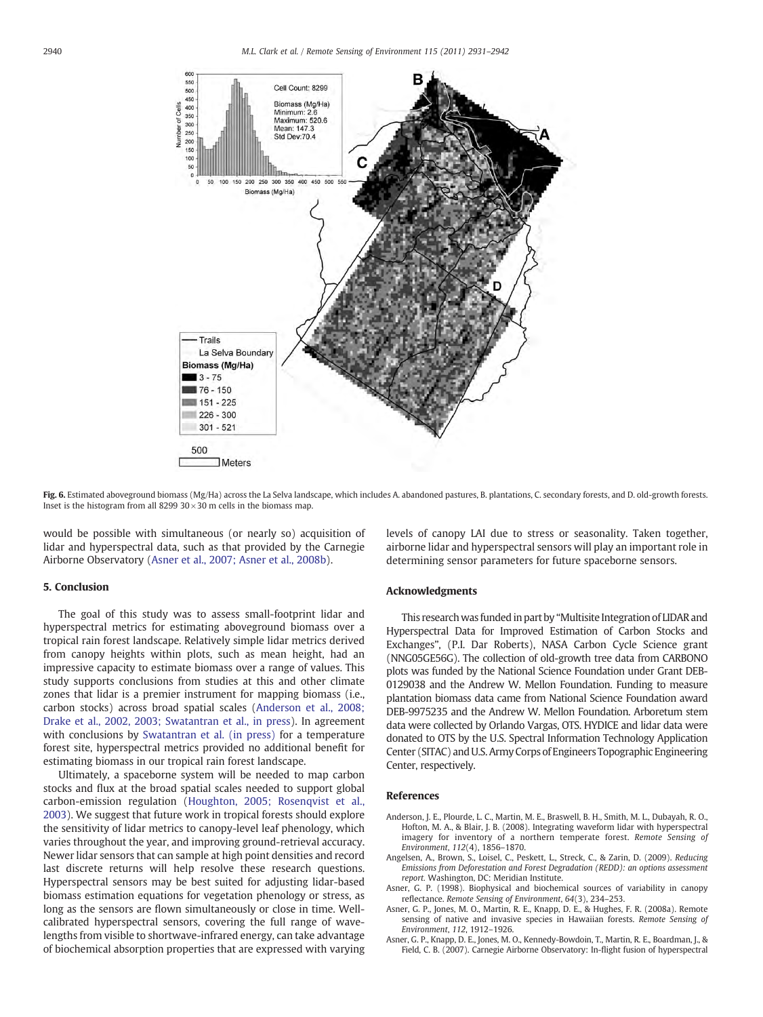<span id="page-9-0"></span>![](_page_9_Figure_2.jpeg)

Fig. 6. Estimated aboveground biomass (Mg/Ha) across the La Selva landscape, which includes A. abandoned pastures, B. plantations, C. secondary forests, and D. old-growth forests. Inset is the histogram from all 8299  $30 \times 30$  m cells in the biomass map.

would be possible with simultaneous (or nearly so) acquisition of lidar and hyperspectral data, such as that provided by the Carnegie Airborne Observatory (Asner et al., 2007; Asner et al., 2008b).

#### 5. Conclusion

The goal of this study was to assess small-footprint lidar and hyperspectral metrics for estimating aboveground biomass over a tropical rain forest landscape. Relatively simple lidar metrics derived from canopy heights within plots, such as mean height, had an impressive capacity to estimate biomass over a range of values. This study supports conclusions from studies at this and other climate zones that lidar is a premier instrument for mapping biomass (i.e., carbon stocks) across broad spatial scales (Anderson et al., 2008; Drake et al., 2002, 2003; Swatantran et al., in press). In agreement with conclusions by [Swatantran et al. \(in press\)](#page-11-0) for a temperature forest site, hyperspectral metrics provided no additional benefit for estimating biomass in our tropical rain forest landscape.

Ultimately, a spaceborne system will be needed to map carbon stocks and flux at the broad spatial scales needed to support global carbon-emission regulation ([Houghton, 2005; Rosenqvist et al.,](#page-10-0) [2003\)](#page-10-0). We suggest that future work in tropical forests should explore the sensitivity of lidar metrics to canopy-level leaf phenology, which varies throughout the year, and improving ground-retrieval accuracy. Newer lidar sensors that can sample at high point densities and record last discrete returns will help resolve these research questions. Hyperspectral sensors may be best suited for adjusting lidar-based biomass estimation equations for vegetation phenology or stress, as long as the sensors are flown simultaneously or close in time. Wellcalibrated hyperspectral sensors, covering the full range of wavelengths from visible to shortwave-infrared energy, can take advantage of biochemical absorption properties that are expressed with varying

levels of canopy LAI due to stress or seasonality. Taken together, airborne lidar and hyperspectral sensors will play an important role in determining sensor parameters for future spaceborne sensors.

#### Acknowledgments

This research was funded in part by "Multisite Integration of LIDAR and Hyperspectral Data for Improved Estimation of Carbon Stocks and Exchanges", (P.I. Dar Roberts), NASA Carbon Cycle Science grant (NNG05GE56G). The collection of old-growth tree data from CARBONO plots was funded by the National Science Foundation under Grant DEB-0129038 and the Andrew W. Mellon Foundation. Funding to measure plantation biomass data came from National Science Foundation award DEB-9975235 and the Andrew W. Mellon Foundation. Arboretum stem data were collected by Orlando Vargas, OTS. HYDICE and lidar data were donated to OTS by the U.S. Spectral Information Technology Application Center (SITAC) and U.S. Army Corps of Engineers Topographic Engineering Center, respectively.

#### References

- Anderson, J. E., Plourde, L. C., Martin, M. E., Braswell, B. H., Smith, M. L., Dubayah, R. O., Hofton, M. A., & Blair, J. B. (2008). Integrating waveform lidar with hyperspectral imagery for inventory of a northern temperate forest. Remote Sensing of Environment, 112(4), 1856–1870.
- Angelsen, A., Brown, S., Loisel, C., Peskett, L., Streck, C., & Zarin, D. (2009). Reducing Emissions from Deforestation and Forest Degradation (REDD): an options assessment report. Washington, DC: Meridian Institute.
- Asner, G. P. (1998). Biophysical and biochemical sources of variability in canopy reflectance. Remote Sensing of Environment, 64(3), 234–253.
- Asner, G. P., Jones, M. O., Martin, R. E., Knapp, D. E., & Hughes, F. R. (2008a). Remote sensing of native and invasive species in Hawaiian forests. Remote Sensing of Environment, 112, 1912–1926.
- Asner, G. P., Knapp, D. E., Jones, M. O., Kennedy-Bowdoin, T., Martin, R. E., Boardman, J., & Field, C. B. (2007). Carnegie Airborne Observatory: In-flight fusion of hyperspectral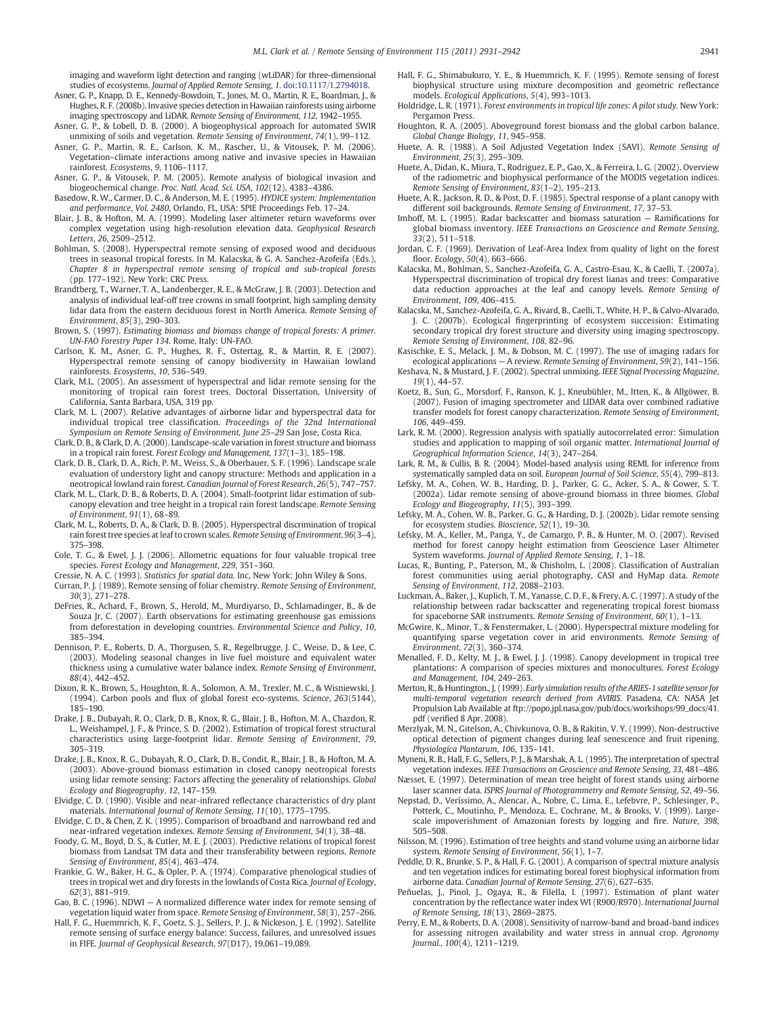<span id="page-10-0"></span>imaging and waveform light detection and ranging (wLiDAR) for three-dimensional studies of ecosystems. Journal of Applied Remote Sensing, 1. doi[:10.1117/1.2794018](http://dx.doi.org/10.1117/1.2794018).

- Asner, G. P., Knapp, D. E., Kennedy-Bowdoin, T., Jones, M. O., Martin, R. E., Boardman, J., & Hughes, R. F. (2008b). Invasive species detection in Hawaiian rainforests using airborne imaging spectroscopy and LiDAR. Remote Sensing of Environment, 112, 1942–1955.
- Asner, G. P., & Lobell, D. B. (2000). A biogeophysical approach for automated SWIR unmixing of soils and vegetation. Remote Sensing of Environment, 74(1), 99–112.
- Asner, G. P., Martin, R. E., Carlson, K. M., Rascher, U., & Vitousek, P. M. (2006). Vegetation–climate interactions among native and invasive species in Hawaiian rainforest. Ecosystems, 9, 1106–1117.
- Asner, G. P., & Vitousek, P. M. (2005). Remote analysis of biological invasion and biogeochemical change. Proc. Natl. Acad. Sci. USA, 102(12), 4383–4386.
- Basedow, R. W., Carmer, D. C., & Anderson, M. E. (1995). HYDICE system: Implementation and performance, Vol. 2480, Orlando, FL, USA: SPIE Proceedings Feb. 17–24.
- Blair, J. B., & Hofton, M. A. (1999). Modeling laser altimeter return waveforms over complex vegetation using high-resolution elevation data. Geophysical Research Letters, 26, 2509–2512.
- Bohlman, S. (2008). Hyperspectral remote sensing of exposed wood and deciduous trees in seasonal tropical forests. In M. Kalacska, & G. A. Sanchez-Azofeifa (Eds.), Chapter 8 in hyperspectral remote sensing of tropical and sub-tropical forests (pp. 177–192). New York: CRC Press.
- Brandtberg, T., Warner, T. A., Landenberger, R. E., & McGraw, J. B. (2003). Detection and analysis of individual leaf-off tree crowns in small footprint, high sampling density lidar data from the eastern deciduous forest in North America. Remote Sensing of Environment, 85(3), 290–303.
- Brown, S. (1997). Estimating biomass and biomass change of tropical forests: A primer. UN-FAO Forestry Paper 134. Rome, Italy: UN-FAO.
- Carlson, K. M., Asner, G. P., Hughes, R. F., Ostertag, R., & Martin, R. E. (2007). Hyperspectral remote sensing of canopy biodiversity in Hawaiian lowland rainforests. Ecosystems, 10, 536–549.
- Clark, M.L. (2005). An assessment of hyperspectral and lidar remote sensing for the monitoring of tropical rain forest trees. Doctoral Dissertation, University of California, Santa Barbara, USA, 319 pp.
- Clark, M. L. (2007). Relative advantages of airborne lidar and hyperspectral data for individual tropical tree classification. Proceedings of the 32nd International Symposium on Remote Sensing of Environment, June 25-29 San Jose, Costa Rica.
- Clark, D. B., & Clark, D. A. (2000). Landscape-scale variation in forest structure and biomass in a tropical rain forest. Forest Ecology and Management, 137(1–3), 185–198.
- Clark, D. B., Clark, D. A., Rich, P. M., Weiss, S., & Oberbauer, S. F. (1996). Landscape scale evaluation of understory light and canopy structure: Methods and application in a neotropical lowland rain forest. Canadian Journal of Forest Research, 26(5), 747–757.
- Clark, M. L., Clark, D. B., & Roberts, D. A. (2004). Small-footprint lidar estimation of subcanopy elevation and tree height in a tropical rain forest landscape. Remote Sensing of Environment, 91(1), 68–89.
- Clark, M. L., Roberts, D. A., & Clark, D. B. (2005). Hyperspectral discrimination of tropical rain forest tree species at leaf to crown scales. Remote Sensing of Environment, 96(3–4), 375–398.
- Cole, T. G., & Ewel, J. J. (2006). Allometric equations for four valuable tropical tree species. Forest Ecology and Management, 229, 351–360.
- Cressie, N. A. C. (1993). Statistics for spatial data. Inc, New York: John Wiley & Sons.
- Curran, P. J. (1989). Remote sensing of foliar chemistry. Remote Sensing of Environment, 30(3), 271–278.
- DeFries, R., Achard, F., Brown, S., Herold, M., Murdiyarso, D., Schlamadinger, B., & de Souza Jr, C. (2007). Earth observations for estimating greenhouse gas emissions from deforestation in developing countries. Environmental Science and Policy, 10, 385–394.
- Dennison, P. E., Roberts, D. A., Thorgusen, S. R., Regelbrugge, J. C., Weise, D., & Lee, C. (2003). Modeling seasonal changes in live fuel moisture and equivalent water thickness using a cumulative water balance index. Remote Sensing of Environment, 88(4), 442–452.
- Dixon, R. K., Brown, S., Houghton, R. A., Solomon, A. M., Trexler, M. C., & Wisniewski, J. (1994). Carbon pools and flux of global forest eco-systems. Science, 263(5144), 185–190.
- Drake, J. B., Dubayah, R. O., Clark, D. B., Knox, R. G., Blair, J. B., Hofton, M. A., Chazdon, R. L., Weishampel, J. F., & Prince, S. D. (2002). Estimation of tropical forest structural characteristics using large-footprint lidar. Remote Sensing of Environment, 79, 305–319.
- Drake, J. B., Knox, R. G., Dubayah, R. O., Clark, D. B., Condit, R., Blair, J. B., & Hofton, M. A. (2003). Above-ground biomass estimation in closed canopy neotropical forests using lidar remote sensing: Factors affecting the generality of relationships. Global Ecology and Biogeography, 12, 147–159.
- Elvidge, C. D. (1990). Visible and near-infrared reflectance characteristics of dry plant materials. International Journal of Remote Sensing, 11(10), 1775–1795.
- Elvidge, C. D., & Chen, Z. K. (1995). Comparison of broadband and narrowband red and near-infrared vegetation indexes. Remote Sensing of Environment, 54(1), 38–48.
- Foody, G. M., Boyd, D. S., & Cutler, M. E. J. (2003). Predictive relations of tropical forest biomass from Landsat TM data and their transferability between regions. Remote Sensing of Environment, 85(4), 463–474.
- Frankie, G. W., Baker, H. G., & Opler, P. A. (1974). Comparative phenological studies of trees in tropical wet and dry forests in the lowlands of Costa Rica. Journal of Ecology, 62(3), 881–919.
- Gao, B. C. (1996). NDWI A normalized difference water index for remote sensing of vegetation liquid water from space. Remote Sensing of Environment, 58(3), 257–266.
- Hall, F. G., Huemmrich, K. F., Goetz, S. J., Sellers, P. J., & Nickeson, J. E. (1992). Satellite remote sensing of surface energy balance: Success, failures, and unresolved issues in FIFE. Journal of Geophysical Research, 97(D17), 19,061–19,089.
- Hall, F. G., Shimabukuro, Y. E., & Huemmrich, K. F. (1995). Remote sensing of forest biophysical structure using mixture decomposition and geometric reflectance models. Ecological Applications, 5(4), 993–1013.
- Holdridge, L. R. (1971). Forest environments in tropical life zones: A pilot study. New York: Pergamon Press.
- Houghton, R. A. (2005). Aboveground forest biomass and the global carbon balance. Global Change Biology, 11, 945–958.
- Huete, A. R. (1988). A Soil Adjusted Vegetation Index (SAVI). Remote Sensing of Environment, 25(3), 295–309.
- Huete, A., Didan, K., Miura, T., Rodriguez, E. P., Gao, X., & Ferreira, L. G. (2002). Overview of the radiometric and biophysical performance of the MODIS vegetation indices. Remote Sensing of Environment, 83(1–2), 195–213.
- Huete, A. R., Jackson, R. D., & Post, D. F. (1985). Spectral response of a plant canopy with different soil backgrounds. Remote Sensing of Environment, 17, 37–53.
- Imhoff, M. L. (1995). Radar backscatter and biomass saturation Ramifications for global biomass inventory. IEEE Transactions on Geoscience and Remote Sensing, 33(2), 511–518.
- Jordan, C. F. (1969). Derivation of Leaf-Area Index from quality of light on the forest floor. Ecology, 50(4), 663–666.
- Kalacska, M., Bohlman, S., Sanchez-Azofeifa, G. A., Castro-Esau, K., & Caelli, T. (2007a). Hyperspectral discrimination of tropical dry forest lianas and trees: Comparative data reduction approaches at the leaf and canopy levels. Remote Sensing of Environment, 109, 406–415.
- Kalacska, M., Sanchez-Azofeifa, G. A., Rivard, B., Caelli, T., White, H. P., & Calvo-Alvarado, J. C. (2007b). Ecological fingerprinting of ecosystem succession: Estimating secondary tropical dry forest structure and diversity using imaging spectroscopy. Remote Sensing of Environment, 108, 82–96.
- Kasischke, E. S., Melack, J. M., & Dobson, M. C. (1997). The use of imaging radars for ecological applications — A review. Remote Sensing of Environment, 59(2), 141–156.
- Keshava, N., & Mustard, J. F. (2002). Spectral unmixing. IEEE Signal Processing Magazine, 19(1), 44–57.
- Koetz, B., Sun, G., Morsdorf, F., Ranson, K. J., Kneubühler, M., Itten, K., & Allgöwer, B. (2007). Fusion of imaging spectrometer and LIDAR data over combined radiative transfer models for forest canopy characterization. Remote Sensing of Environment, 106, 449–459.
- Lark, R. M. (2000). Regression analysis with spatially autocorrelated error: Simulation studies and application to mapping of soil organic matter. International Journal of Geographical Information Science, 14(3), 247–264.
- Lark, R. M., & Cullis, B. R. (2004). Model-based analysis using REML for inference from systematically sampled data on soil. European Journal of Soil Science, 55(4), 799–813.
- Lefsky, M. A., Cohen, W. B., Harding, D. J., Parker, G. G., Acker, S. A., & Gower, S. T. (2002a). Lidar remote sensing of above-ground biomass in three biomes. Global Ecology and Biogeography, 11(5), 393–399.
- Lefsky, M. A., Cohen, W. B., Parker, G. G., & Harding, D. J. (2002b). Lidar remote sensing for ecosystem studies. Bioscience, 52(1), 19–30.
- Lefsky, M. A., Keller, M., Panga, Y., de Camargo, P. B., & Hunter, M. O. (2007). Revised method for forest canopy height estimation from Geoscience Laser Altimeter System waveforms. Journal of Applied Remote Sensing, 1, 1–18.
- Lucas, R., Bunting, P., Paterson, M., & Chisholm, L. (2008). Classification of Australian forest communities using aerial photography, CASI and HyMap data. Remote Sensing of Environment, 112, 2088–2103.
- Luckman, A., Baker, J., Kuplich, T. M., Yanasse, C. D. F., & Frery, A. C. (1997). A study of the relationship between radar backscatter and regenerating tropical forest biomass for spaceborne SAR instruments. Remote Sensing of Environment, 60(1), 1–13.
- McGwire, K., Minor, T., & Fenstermaker, L. (2000). Hyperspectral mixture modeling for quantifying sparse vegetation cover in arid environments. Remote Sensing of Environment, 72(3), 360–374.
- Menalled, F. D., Kelty, M. J., & Ewel, J. J. (1998). Canopy development in tropical tree plantations: A comparison of species mixtures and monocultures. Forest Ecology and Management, 104, 249–263.
- Merton, R., & Huntington., J. (1999). Early simulation results of the ARIES-1 satellite sensor for multi-temporal vegetation research derived from AVIRIS. Pasadena, CA: NASA Jet Propulsion Lab Available at ftp://popo.jpl.nasa.gov/pub/docs/workshops/99\_docs/41. pdf (verified 8 Apr. 2008).
- Merzlyak, M. N., Gitelson, A., Chivkunova, O. B., & Rakitin, V. Y. (1999). Non-destructive optical detection of pigment changes during leaf senescence and fruit ripening. Physiologica Plantarum, 106, 135–141.
- Myneni, R. B., Hall, F. G., Sellers, P. J., & Marshak, A. L. (1995). The interpretation of spectral vegetation indexes. IEEE Transactions on Geoscience and Remote Sensing, 33, 481–486. Næsset, E. (1997). Determination of mean tree height of forest stands using airborne
- laser scanner data. ISPRS Journal of Photogrammetry and Remote Sensing, 52, 49–56. Nepstad, D., Veríssimo, A., Alencar, A., Nobre, C., Lima, E., Lefebvre, P., Schlesinger, P.,
- Potterk, C., Moutinho, P., Mendoza, E., Cochrane, M., & Brooks, V. (1999). Largescale impoverishment of Amazonian forests by logging and fire. Nature, 398, 505–508.
- Nilsson, M. (1996). Estimation of tree heights and stand volume using an airborne lidar system. Remote Sensing of Environment, 56(1), 1–7.
- Peddle, D. R., Brunke, S. P., & Hall, F. G. (2001). A comparison of spectral mixture analysis and ten vegetation indices for estimating boreal forest biophysical information from airborne data. Canadian Journal of Remote Sensing, 27(6), 627–635.
- Peñuelas, J., Pinol, J., Ogaya, R., & Filella, I. (1997). Estimation of plant water concentration by the reflectance water index WI (R900/R970). International Journal of Remote Sensing, 18(13), 2869–2875.
- Perry, E. M., & Roberts, D. A. (2008). Sensitivity of narrow-band and broad-band indices for assessing nitrogen availability and water stress in annual crop. Agronomy Journal., 100(4), 1211–1219.